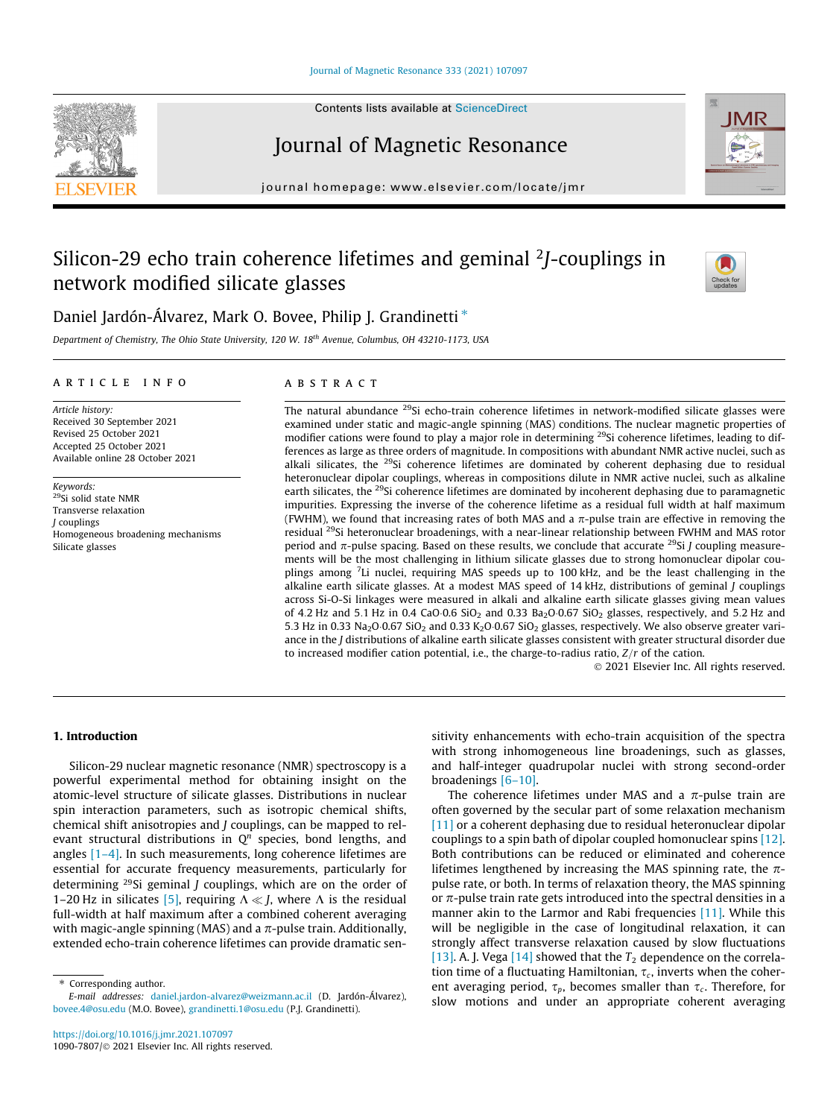## [Journal of Magnetic Resonance 333 \(2021\) 107097](https://doi.org/10.1016/j.jmr.2021.107097)

# Journal of Magnetic Resonance

journal homepage: [www.elsevier.com/locate/jmr](http://www.elsevier.com/locate/jmr)

# Silicon-29 echo train coherence lifetimes and geminal <sup>2</sup>J-couplings in network modified silicate glasses



Department of Chemistry, The Ohio State University, 120 W. 18th Avenue, Columbus, OH 43210-1173, USA

## article info

Article history: Received 30 September 2021 Revised 25 October 2021 Accepted 25 October 2021 Available online 28 October 2021

Keywords: 29Si solid state NMR Transverse relaxation J couplings Homogeneous broadening mechanisms Silicate glasses

# ABSTRACT

The natural abundance <sup>29</sup>Si echo-train coherence lifetimes in network-modified silicate glasses were examined under static and magic-angle spinning (MAS) conditions. The nuclear magnetic properties of modifier cations were found to play a major role in determining <sup>29</sup>Si coherence lifetimes, leading to differences as large as three orders of magnitude. In compositions with abundant NMR active nuclei, such as alkali silicates, the  $29$ Si coherence lifetimes are dominated by coherent dephasing due to residual heteronuclear dipolar couplings, whereas in compositions dilute in NMR active nuclei, such as alkaline earth silicates, the <sup>29</sup>Si coherence lifetimes are dominated by incoherent dephasing due to paramagnetic impurities. Expressing the inverse of the coherence lifetime as a residual full width at half maximum (FWHM), we found that increasing rates of both MAS and a  $\pi$ -pulse train are effective in removing the residual 29Si heteronuclear broadenings, with a near-linear relationship between FWHM and MAS rotor period and  $\pi$ -pulse spacing. Based on these results, we conclude that accurate <sup>29</sup>Si *J* coupling measurements will be the most challenging in lithium silicate glasses due to strong homonuclear dipolar couplings among <sup>7</sup>Li nuclei, requiring MAS speeds up to 100 kHz, and be the least challenging in the alkaline earth silicate glasses. At a modest MAS speed of 14 kHz, distributions of geminal J couplings across Si-O-Si linkages were measured in alkali and alkaline earth silicate glasses giving mean values of 4.2 Hz and 5.1 Hz in 0.4 CaO 0.6 SiO<sub>2</sub> and 0.33 Ba<sub>2</sub>O 0.67 SiO<sub>2</sub> glasses, respectively, and 5.2 Hz and 5.3 Hz in 0.33 Na<sub>2</sub>O·0.67 SiO<sub>2</sub> and 0.33 K<sub>2</sub>O·0.67 SiO<sub>2</sub> glasses, respectively. We also observe greater variance in the J distributions of alkaline earth silicate glasses consistent with greater structural disorder due to increased modifier cation potential, i.e., the charge-to-radius ratio,  $Z/r$  of the cation.

2021 Elsevier Inc. All rights reserved.

# 1. Introduction

Silicon-29 nuclear magnetic resonance (NMR) spectroscopy is a powerful experimental method for obtaining insight on the atomic-level structure of silicate glasses. Distributions in nuclear spin interaction parameters, such as isotropic chemical shifts, chemical shift anisotropies and J couplings, can be mapped to relevant structural distributions in  $Q^n$  species, bond lengths, and angles [\[1–4\].](#page-10-0) In such measurements, long coherence lifetimes are essential for accurate frequency measurements, particularly for determining  $^{29}$ Si geminal *J* couplings, which are on the order of 1–20 Hz in silicates [\[5\],](#page-10-0) requiring  $\Lambda \ll J$ , where  $\Lambda$  is the residual full-width at half maximum after a combined coherent averaging with magic-angle spinning (MAS) and a  $\pi$ -pulse train. Additionally, extended echo-train coherence lifetimes can provide dramatic sen-

\* Corresponding author.

sitivity enhancements with echo-train acquisition of the spectra with strong inhomogeneous line broadenings, such as glasses, and half-integer quadrupolar nuclei with strong second-order broadenings [\[6–10\].](#page-10-0)

The coherence lifetimes under MAS and a  $\pi$ -pulse train are often governed by the secular part of some relaxation mechanism [\[11\]](#page-10-0) or a coherent dephasing due to residual heteronuclear dipolar couplings to a spin bath of dipolar coupled homonuclear spins [\[12\].](#page-10-0) Both contributions can be reduced or eliminated and coherence lifetimes lengthened by increasing the MAS spinning rate, the  $\pi$ pulse rate, or both. In terms of relaxation theory, the MAS spinning or  $\pi$ -pulse train rate gets introduced into the spectral densities in a manner akin to the Larmor and Rabi frequencies [\[11\].](#page-10-0) While this will be negligible in the case of longitudinal relaxation, it can strongly affect transverse relaxation caused by slow fluctuations [\[13\]](#page-10-0). A. J. Vega [\[14\]](#page-10-0) showed that the  $T_2$  dependence on the correlation time of a fluctuating Hamiltonian,  $\tau_c$ , inverts when the coherent averaging period,  $\tau_n$ , becomes smaller than  $\tau_c$ . Therefore, for slow motions and under an appropriate coherent averaging







E-mail addresses: [daniel.jardon-alvarez@weizmann.ac.il](mailto:daniel.jardon-alvarez@weizmann.ac.il) (D. Jardón-Álvarez), [bovee.4@osu.edu](mailto:bovee.4@osu.edu) (M.O. Bovee), [grandinetti.1@osu.edu](mailto:grandinetti.1@osu.edu) (P.J. Grandinetti).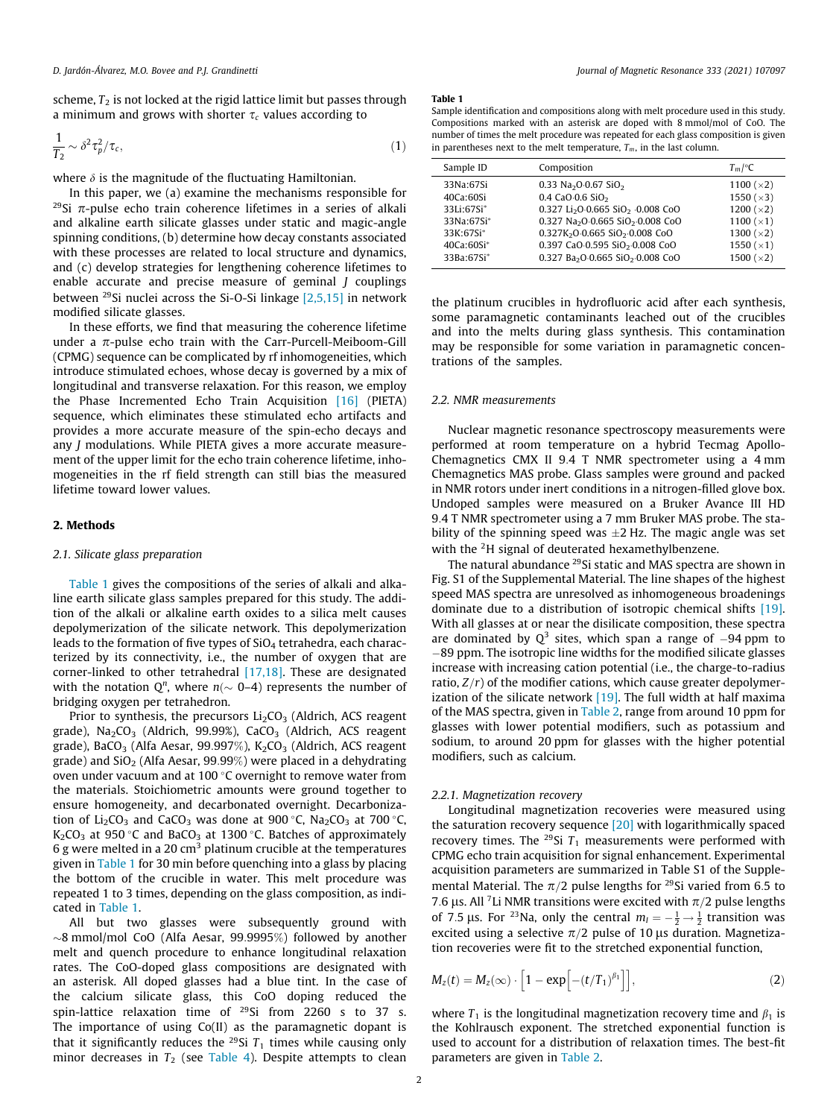<span id="page-1-0"></span>scheme,  $T_2$  is not locked at the rigid lattice limit but passes through a minimum and grows with shorter  $\tau_c$  values according to

$$
\frac{1}{T_2} \sim \delta^2 \tau_p^2 / \tau_c, \tag{1}
$$

where  $\delta$  is the magnitude of the fluctuating Hamiltonian.

In this paper, we (a) examine the mechanisms responsible for <sup>29</sup>Si  $\pi$ -pulse echo train coherence lifetimes in a series of alkali and alkaline earth silicate glasses under static and magic-angle spinning conditions, (b) determine how decay constants associated with these processes are related to local structure and dynamics, and (c) develop strategies for lengthening coherence lifetimes to enable accurate and precise measure of geminal J couplings between 29Si nuclei across the Si-O-Si linkage [\[2,5,15\]](#page-10-0) in network modified silicate glasses.

In these efforts, we find that measuring the coherence lifetime under a  $\pi$ -pulse echo train with the Carr-Purcell-Meiboom-Gill (CPMG) sequence can be complicated by rf inhomogeneities, which introduce stimulated echoes, whose decay is governed by a mix of longitudinal and transverse relaxation. For this reason, we employ the Phase Incremented Echo Train Acquisition [\[16\]](#page-10-0) (PIETA) sequence, which eliminates these stimulated echo artifacts and provides a more accurate measure of the spin-echo decays and any J modulations. While PIETA gives a more accurate measurement of the upper limit for the echo train coherence lifetime, inhomogeneities in the rf field strength can still bias the measured lifetime toward lower values.

## 2. Methods

# 2.1. Silicate glass preparation

Table 1 gives the compositions of the series of alkali and alkaline earth silicate glass samples prepared for this study. The addition of the alkali or alkaline earth oxides to a silica melt causes depolymerization of the silicate network. This depolymerization leads to the formation of five types of  $SiO<sub>4</sub>$  tetrahedra, each characterized by its connectivity, i.e., the number of oxygen that are corner-linked to other tetrahedral [\[17,18\].](#page-10-0) These are designated with the notation  $Q^n$ , where  $n(\sim 0-4)$  represents the number of bridging oxygen per tetrahedron.

Prior to synthesis, the precursors  $Li<sub>2</sub>CO<sub>3</sub>$  (Aldrich, ACS reagent grade),  $Na<sub>2</sub>CO<sub>3</sub>$  (Aldrich, 99.99%), CaCO<sub>3</sub> (Aldrich, ACS reagent grade), BaCO<sub>3</sub> (Alfa Aesar, 99.997%), K<sub>2</sub>CO<sub>3</sub> (Aldrich, ACS reagent grade) and  $SiO<sub>2</sub>$  (Alfa Aesar, 99.99%) were placed in a dehydrating oven under vacuum and at 100 $\degree$ C overnight to remove water from the materials. Stoichiometric amounts were ground together to ensure homogeneity, and decarbonated overnight. Decarbonization of Li<sub>2</sub>CO<sub>3</sub> and CaCO<sub>3</sub> was done at 900 °C, Na<sub>2</sub>CO<sub>3</sub> at 700 °C,  $K_2CO_3$  at 950 °C and BaCO<sub>3</sub> at 1300 °C. Batches of approximately 6 g were melted in a 20 cm<sup>3</sup> platinum crucible at the temperatures given in Table 1 for 30 min before quenching into a glass by placing the bottom of the crucible in water. This melt procedure was repeated 1 to 3 times, depending on the glass composition, as indicated in Table 1.

All but two glasses were subsequently ground with  $\sim$ 8 mmol/mol CoO (Alfa Aesar, 99.9995%) followed by another melt and quench procedure to enhance longitudinal relaxation rates. The CoO-doped glass compositions are designated with an asterisk. All doped glasses had a blue tint. In the case of the calcium silicate glass, this CoO doping reduced the spin-lattice relaxation time of <sup>29</sup>Si from 2260 s to 37 s. The importance of using Co(II) as the paramagnetic dopant is that it significantly reduces the <sup>29</sup>Si  $T_1$  times while causing only minor decreases in  $T_2$  (see [Table 4\)](#page-5-0). Despite attempts to clean

#### Table 1

Sample identification and compositions along with melt procedure used in this study. Compositions marked with an asterisk are doped with 8 mmol/mol of CoO. The number of times the melt procedure was repeated for each glass composition is given in parentheses next to the melt temperature,  $T_m$ , in the last column.

| Sample ID                                                                                   | Composition                                                                                                                                                                                                                                                                                                                                                                 | $T_m$ /°C                                                                                                                                |
|---------------------------------------------------------------------------------------------|-----------------------------------------------------------------------------------------------------------------------------------------------------------------------------------------------------------------------------------------------------------------------------------------------------------------------------------------------------------------------------|------------------------------------------------------------------------------------------------------------------------------------------|
| 33Na:67Si<br>40Ca:60Si<br>33Li:67Si*<br>33Na:67Si*<br>33K:67Si*<br>40Ca:60Si*<br>33Ba:67Si* | 0.33 Na <sub>2</sub> O 0.67 SiO <sub>2</sub><br>0.4 CaO 0.6 SiO <sub>2</sub><br>0.327 Li <sub>2</sub> O 0.665 SiO <sub>2</sub> 0.008 CoO<br>0.327 Na <sub>2</sub> O 0.665 SiO <sub>2</sub> 0.008 CoO<br>0.327K <sub>2</sub> O.0.665 SiO <sub>2</sub> .0.008 CoO<br>0.397 CaO.0.595 SiO <sub>2</sub> .0.008 CoO<br>0.327 Ba <sub>2</sub> O.0.665 SiO <sub>2</sub> .0.008 CoO | 1100 ( $\times$ 2)<br>1550 ( $\times$ 3)<br>1200 ( $\times$ 2)<br>1100 $(x1)$<br>1300 ( $\times$ 2)<br>1550 $(x1)$<br>1500 ( $\times$ 2) |
|                                                                                             |                                                                                                                                                                                                                                                                                                                                                                             |                                                                                                                                          |

the platinum crucibles in hydrofluoric acid after each synthesis, some paramagnetic contaminants leached out of the crucibles and into the melts during glass synthesis. This contamination may be responsible for some variation in paramagnetic concentrations of the samples.

### 2.2. NMR measurements

Nuclear magnetic resonance spectroscopy measurements were performed at room temperature on a hybrid Tecmag Apollo-Chemagnetics CMX II 9.4 T NMR spectrometer using a 4 mm Chemagnetics MAS probe. Glass samples were ground and packed in NMR rotors under inert conditions in a nitrogen-filled glove box. Undoped samples were measured on a Bruker Avance III HD 9:4 T NMR spectrometer using a 7 mm Bruker MAS probe. The stability of the spinning speed was  $\pm$ 2 Hz. The magic angle was set with the <sup>2</sup>H signal of deuterated hexamethylbenzene.

The natural abundance <sup>29</sup>Si static and MAS spectra are shown in Fig. S1 of the Supplemental Material. The line shapes of the highest speed MAS spectra are unresolved as inhomogeneous broadenings dominate due to a distribution of isotropic chemical shifts [\[19\].](#page-11-0) With all glasses at or near the disilicate composition, these spectra are dominated by  $Q^3$  sites, which span a range of  $-94$  ppm to  $-89$  ppm. The isotropic line widths for the modified silicate glasses increase with increasing cation potential (i.e., the charge-to-radius ratio,  $Z/r$ ) of the modifier cations, which cause greater depolymerization of the silicate network  $[19]$ . The full width at half maxima of the MAS spectra, given in [Table 2,](#page-2-0) range from around 10 ppm for glasses with lower potential modifiers, such as potassium and sodium, to around 20 ppm for glasses with the higher potential modifiers, such as calcium.

## 2.2.1. Magnetization recovery

Longitudinal magnetization recoveries were measured using the saturation recovery sequence [\[20\]](#page-11-0) with logarithmically spaced recovery times. The <sup>29</sup>Si  $T_1$  measurements were performed with CPMG echo train acquisition for signal enhancement. Experimental acquisition parameters are summarized in Table S1 of the Supplemental Material. The  $\pi/2$  pulse lengths for <sup>29</sup>Si varied from 6.5 to 7.6 µs. All <sup>7</sup>Li NMR transitions were excited with  $\pi/2$  pulse lengths of 7.5  $\mu$ s. For <sup>23</sup>Na, only the central  $m_l = -\frac{1}{2} \rightarrow \frac{1}{2}$  transition was excited using a selective  $\pi/2$  pulse of 10 µs duration. Magnetization recoveries were fit to the stretched exponential function,

$$
M_z(t) = M_z(\infty) \cdot \left[1 - \exp\left[-(t/T_1)^{\beta_1}\right]\right],\tag{2}
$$

where  $T_1$  is the longitudinal magnetization recovery time and  $\beta_1$  is the Kohlrausch exponent. The stretched exponential function is used to account for a distribution of relaxation times. The best-fit parameters are given in [Table 2](#page-2-0).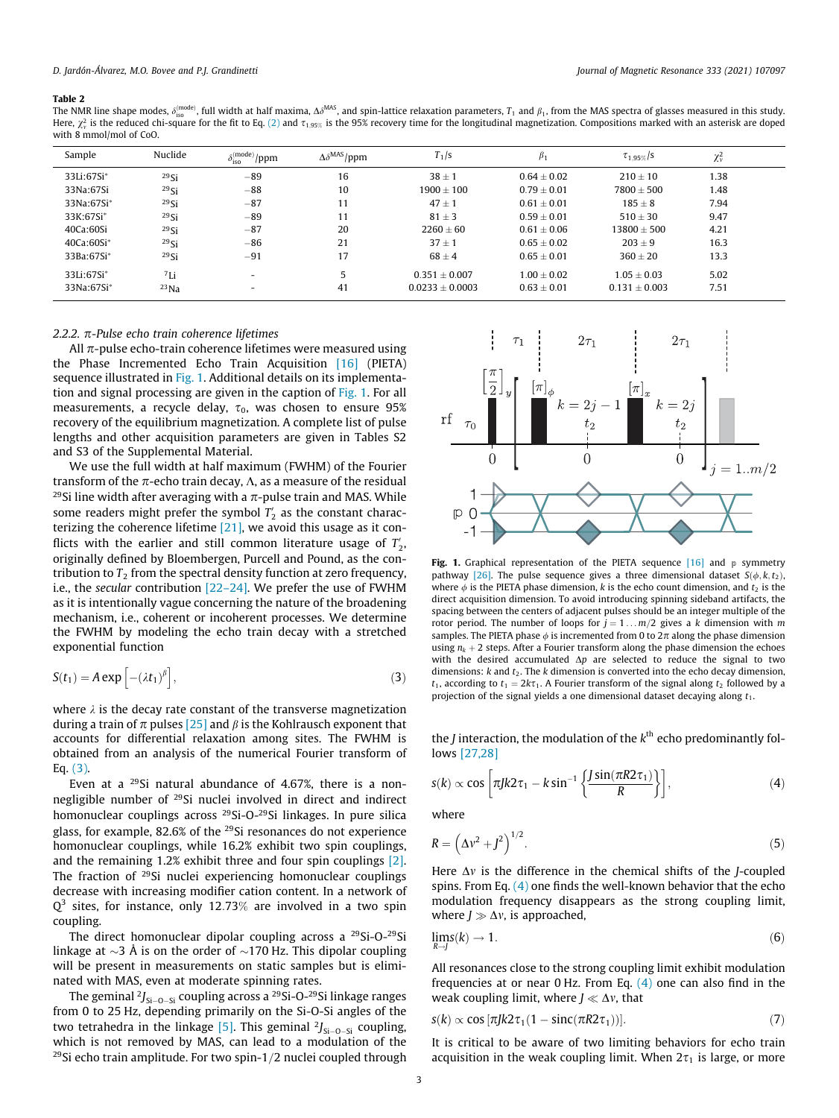<span id="page-2-0"></span>The NMR line shape modes,  $\delta_{\rm iso}^{\rm (mode)}$ , full width at half maxima,  $\Delta \delta^{\rm MAS}$ , and spin-lattice relaxation parameters,  $T_1$  and  $\beta_1$ , from the MAS spectra of glasses measured in this study. Here,  $\chi^2_\text{v}$  is the reduced chi-square for the fit to Eq. [\(2\)](#page-1-0) and  $\tau_{1.95\%}$  is the 95% recovery time for the longitudinal magnetization. Compositions marked with an asterisk are doped with 8 mmol/mol of CoO.

| Sample     | Nuclide    | $\epsilon^{(\text{mode})}/ppm$ | $\Delta\delta^{\rm MAS}/$ ppm | $T_1$ /s          | P <sub>1</sub>  | $\tau_{1.95\%}/s$ | $\chi^2_{\nu}$ |  |
|------------|------------|--------------------------------|-------------------------------|-------------------|-----------------|-------------------|----------------|--|
| 33Li:67Si* | $^{29}$ Si | $-89$                          | 16                            | $38 \pm 1$        | $0.64 \pm 0.02$ | $210 + 10$        | 1.38           |  |
| 33Na:67Si  | $^{29}$ Si | $-88$                          | 10                            | $1900 \pm 100$    | $0.79 \pm 0.01$ | $7800 \pm 500$    | 1.48           |  |
| 33Na:67Si* | $^{29}$ Si | $-87$                          | 11                            | $47 \pm 1$        | $0.61 \pm 0.01$ | $185 \pm 8$       | 7.94           |  |
| 33K:67Si*  | $^{29}$ Si | $-89$                          | 11                            | $81 \pm 3$        | $0.59 \pm 0.01$ | $510 \pm 30$      | 9.47           |  |
| 40Ca:60Si  | $^{29}$ Si | $-87$                          | 20                            | $2260 \pm 60$     | $0.61 + 0.06$   | $13800 + 500$     | 4.21           |  |
| 40Ca:60Si* | $^{29}$ Si | $-86$                          | 21                            | $37 \pm 1$        | $0.65 + 0.02$   | $203 + 9$         | 16.3           |  |
| 33Ba:67Si* | 29Si       | $-91$                          | 17                            | $68 \pm 4$        | $0.65 \pm 0.01$ | $360 \pm 20$      | 13.3           |  |
| 33Li:67Si* | 7Li        | $\overline{\phantom{0}}$       | 5                             | $0.351 \pm 0.007$ | $1.00 \pm 0.02$ | $1.05 + 0.03$     | 5.02           |  |
| 33Na:67Si* | $^{23}$ Na | $\overline{\phantom{a}}$       | 41                            | $0.0233 + 0.0003$ | $0.63 \pm 0.01$ | $0.131 \pm 0.003$ | 7.51           |  |

# 2.2.2.  $\pi$ -Pulse echo train coherence lifetimes

All  $\pi$ -pulse echo-train coherence lifetimes were measured using the Phase Incremented Echo Train Acquisition [\[16\]](#page-10-0) (PIETA) sequence illustrated in Fig. 1. Additional details on its implementation and signal processing are given in the caption of Fig. 1. For all measurements, a recycle delay,  $\tau_0$ , was chosen to ensure 95% recovery of the equilibrium magnetization. A complete list of pulse lengths and other acquisition parameters are given in Tables S2 and S3 of the Supplemental Material.

We use the full width at half maximum (FWHM) of the Fourier transform of the  $\pi$ -echo train decay,  $\Lambda$ , as a measure of the residual <sup>29</sup>Si line width after averaging with a  $\pi$ -pulse train and MAS. While some readers might prefer the symbol  $T_2^\prime$  as the constant characterizing the coherence lifetime [\[21\],](#page-11-0) we avoid this usage as it conflicts with the earlier and still common literature usage of  $T_{2}^{\prime},$ originally defined by Bloembergen, Purcell and Pound, as the contribution to  $T<sub>2</sub>$  from the spectral density function at zero frequency, i.e., the secular contribution  $[22-24]$ . We prefer the use of FWHM as it is intentionally vague concerning the nature of the broadening mechanism, i.e., coherent or incoherent processes. We determine the FWHM by modeling the echo train decay with a stretched exponential function

$$
S(t_1) = A \exp\left[-(\lambda t_1)^{\beta}\right],\tag{3}
$$

where  $\lambda$  is the decay rate constant of the transverse magnetization during a train of  $\pi$  pulses [\[25\]](#page-11-0) and  $\beta$  is the Kohlrausch exponent that accounts for differential relaxation among sites. The FWHM is obtained from an analysis of the numerical Fourier transform of Eq. (3).

Even at a 29Si natural abundance of 4.67%, there is a nonnegligible number of 29Si nuclei involved in direct and indirect homonuclear couplings across <sup>29</sup>Si-O-<sup>29</sup>Si linkages. In pure silica glass, for example, 82.6% of the 29Si resonances do not experience homonuclear couplings, while 16.2% exhibit two spin couplings, and the remaining 1.2% exhibit three and four spin couplings [\[2\].](#page-10-0) The fraction of 29Si nuclei experiencing homonuclear couplings decrease with increasing modifier cation content. In a network of  $Q^3$  sites, for instance, only 12.73% are involved in a two spin coupling.

The direct homonuclear dipolar coupling across a 29Si-O-29Si linkage at  $\sim$ 3 Å is on the order of  $\sim$ 170 Hz. This dipolar coupling will be present in measurements on static samples but is eliminated with MAS, even at moderate spinning rates.

The geminal  $2J_{Si-O-Si}$  coupling across a <sup>29</sup>Si-O-<sup>29</sup>Si linkage ranges from 0 to 25 Hz, depending primarily on the Si-O-Si angles of the two tetrahedra in the linkage [\[5\].](#page-10-0) This geminal  $2J_{Si-O-Si}$  coupling, which is not removed by MAS, can lead to a modulation of the  $29$ Si echo train amplitude. For two spin-1/2 nuclei coupled through



Fig. 1. Graphical representation of the PIETA sequence  $[16]$  and p symmetry pathway [\[26\].](#page-11-0) The pulse sequence gives a three dimensional dataset  $S(\phi, k, t_2)$ , where  $\phi$  is the PIETA phase dimension, k is the echo count dimension, and  $t_2$  is the direct acquisition dimension. To avoid introducing spinning sideband artifacts, the spacing between the centers of adjacent pulses should be an integer multiple of the rotor period. The number of loops for  $j = 1 ... m/2$  gives a k dimension with m samples. The PIETA phase  $\phi$  is incremented from 0 to  $2\pi$  along the phase dimension using  $n_k + 2$  steps. After a Fourier transform along the phase dimension the echoes with the desired accumulated  $\Delta p$  are selected to reduce the signal to two dimensions:  $k$  and  $t_2$ . The  $k$  dimension is converted into the echo decay dimension,  $t_1$ , according to  $t_1 = 2k\tau_1$ . A Fourier transform of the signal along  $t_2$  followed by a projection of the signal yields a one dimensional dataset decaying along  $t_1$ .

the *J* interaction, the modulation of the  $k^{\text{th}}$  echo predominantly follows [\[27,28\]](#page-11-0)

$$
s(k) \propto \cos\left[\pi J k 2\tau_1 - k \sin^{-1}\left\{\frac{J \sin(\pi R 2\tau_1)}{R}\right\}\right],\tag{4}
$$

where

$$
R = \left(\Delta v^2 + J^2\right)^{1/2}.\tag{5}
$$

Here  $\Delta v$  is the difference in the chemical shifts of the *J*-coupled spins. From Eq.  $(4)$  one finds the well-known behavior that the echo modulation frequency disappears as the strong coupling limit, where  $J \gg \Delta v$ , is approached,<br>limited

$$
\lim_{R \to J} s(k) \to 1. \tag{6}
$$

All resonances close to the strong coupling limit exhibit modulation frequencies at or near 0 Hz. From Eq. (4) one can also find in the weak coupling limit, where  $J \ll \Delta v$ , that

$$
s(k) \propto \cos\left[\pi J k 2\tau_1 (1 - \text{sinc}(\pi R 2\tau_1))\right].
$$
 (7)

It is critical to be aware of two limiting behaviors for echo train acquisition in the weak coupling limit. When  $2\tau_1$  is large, or more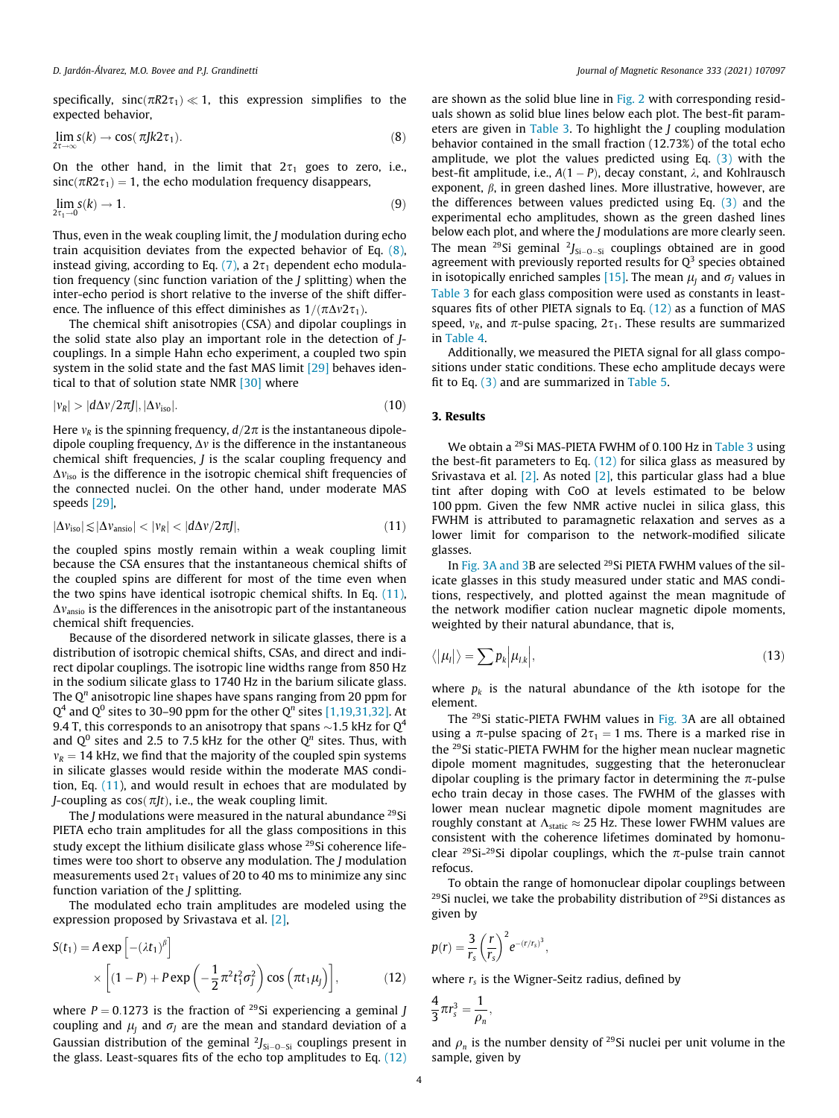<span id="page-3-0"></span>specifically,  $sinc(\pi R2\tau_1) \ll 1$ , this expression simplifies to the expected behavior,

$$
\lim_{2\tau \to \infty} s(k) \to \cos(\pi J k 2\tau_1). \tag{8}
$$

On the other hand, in the limit that  $2\tau_1$  goes to zero, i.e.,  $sinc(\pi R2\tau_1) = 1$ , the echo modulation frequency disappears,

$$
\lim_{2\tau_1 \to 0} s(k) \to 1. \tag{9}
$$

Thus, even in the weak coupling limit, the J modulation during echo train acquisition deviates from the expected behavior of Eq. (8), instead giving, according to Eq.  $(7)$ , a  $2\tau_1$  dependent echo modulation frequency (sinc function variation of the J splitting) when the inter-echo period is short relative to the inverse of the shift difference. The influence of this effect diminishes as  $1/(\pi \Delta v 2\tau_1)$ .

The chemical shift anisotropies (CSA) and dipolar couplings in the solid state also play an important role in the detection of Jcouplings. In a simple Hahn echo experiment, a coupled two spin system in the solid state and the fast MAS limit [\[29\]](#page-11-0) behaves identical to that of solution state NMR [\[30\]](#page-11-0) where

$$
|v_R| > |d\Delta v/2\pi J|, |\Delta v_{\rm iso}|.
$$
 (10)

Here  $v_R$  is the spinning frequency,  $d/2\pi$  is the instantaneous dipoledipole coupling frequency,  $\Delta v$  is the difference in the instantaneous chemical shift frequencies, J is the scalar coupling frequency and  $\Delta v_{\rm iso}$  is the difference in the isotropic chemical shift frequencies of the connected nuclei. On the other hand, under moderate MAS speeds [\[29\],](#page-11-0)

$$
|\Delta v_{\rm iso}| \lesssim |\Delta v_{\rm aniso}| < |v_R| < |d\Delta v/2\pi J|,
$$
\n(11)

the coupled spins mostly remain within a weak coupling limit because the CSA ensures that the instantaneous chemical shifts of the coupled spins are different for most of the time even when the two spins have identical isotropic chemical shifts. In Eq. (11),  $\Delta v_{\rm{ansio}}$  is the differences in the anisotropic part of the instantaneous chemical shift frequencies.

Because of the disordered network in silicate glasses, there is a distribution of isotropic chemical shifts, CSAs, and direct and indirect dipolar couplings. The isotropic line widths range from 850 Hz in the sodium silicate glass to 1740 Hz in the barium silicate glass. The  $Q<sup>n</sup>$  anisotropic line shapes have spans ranging from 20 ppm for  $Q<sup>4</sup>$  and  $Q<sup>0</sup>$  sites to 30–90 ppm for the other  $Q<sup>n</sup>$  sites [\[1,19,31,32\]](#page-10-0). At 9.4 T, this corresponds to an anisotropy that spans  $\sim$  1.5 kHz for Q<sup>4</sup> and  $Q^0$  sites and 2.5 to 7.5 kHz for the other  $Q^n$  sites. Thus, with  $v_R = 14$  kHz, we find that the majority of the coupled spin systems in silicate glasses would reside within the moderate MAS condition, Eq. (11), and would result in echoes that are modulated by J-coupling as  $cos(\pi Jt)$ , i.e., the weak coupling limit.

The *J* modulations were measured in the natural abundance  $^{29}$ Si PIETA echo train amplitudes for all the glass compositions in this study except the lithium disilicate glass whose <sup>29</sup>Si coherence lifetimes were too short to observe any modulation. The J modulation measurements used  $2\tau_1$  values of 20 to 40 ms to minimize any sinc function variation of the *I* splitting.

The modulated echo train amplitudes are modeled using the expression proposed by Srivastava et al. [\[2\]](#page-10-0),

$$
S(t_1) = A \exp\left[-(\lambda t_1)^{\beta}\right]
$$

$$
\times \left[ (1 - P) + P \exp\left(-\frac{1}{2}\pi^2 t_1^2 \sigma_j^2\right) \cos\left(\pi t_1 \mu_j\right) \right],
$$
(12)

where  $P = 0.1273$  is the fraction of <sup>29</sup>Si experiencing a geminal *J* coupling and  $\mu_I$  and  $\sigma_J$  are the mean and standard deviation of a Gaussian distribution of the geminal  $2J_{Si-O-Si}$  couplings present in the glass. Least-squares fits of the echo top amplitudes to Eq. (12) are shown as the solid blue line in [Fig. 2](#page-4-0) with corresponding residuals shown as solid blue lines below each plot. The best-fit parameters are given in [Table 3](#page-4-0). To highlight the J coupling modulation behavior contained in the small fraction (12.73%) of the total echo amplitude, we plot the values predicted using Eq. [\(3\)](#page-2-0) with the best-fit amplitude, i.e.,  $A(1 - P)$ , decay constant,  $\lambda$ , and Kohlrausch exponent,  $\beta$ , in green dashed lines. More illustrative, however, are the differences between values predicted using Eq. [\(3\)](#page-2-0) and the experimental echo amplitudes, shown as the green dashed lines below each plot, and where the J modulations are more clearly seen. The mean <sup>29</sup>Si geminal  $2J_{Si-O-Si}$  couplings obtained are in good agreement with previously reported results for  $Q^3$  species obtained in isotopically enriched samples [\[15\]](#page-10-0). The mean  $\mu_I$  and  $\sigma_J$  values in [Table 3](#page-4-0) for each glass composition were used as constants in leastsquares fits of other PIETA signals to Eq. (12) as a function of MAS speed,  $v_R$ , and  $\pi$ -pulse spacing,  $2\tau_1$ . These results are summarized in [Table 4.](#page-5-0)

Additionally, we measured the PIETA signal for all glass compositions under static conditions. These echo amplitude decays were fit to Eq. [\(3\)](#page-2-0) and are summarized in [Table 5.](#page-5-0)

## 3. Results

We obtain a <sup>29</sup>Si MAS-PIETA FWHM of 0.100 Hz in [Table 3](#page-4-0) using the best-fit parameters to Eq.  $(12)$  for silica glass as measured by Srivastava et al.  $[2]$ . As noted  $[2]$ , this particular glass had a blue tint after doping with CoO at levels estimated to be below 100 ppm. Given the few NMR active nuclei in silica glass, this FWHM is attributed to paramagnetic relaxation and serves as a lower limit for comparison to the network-modified silicate glasses.

In [Fig. 3A and 3B](#page-6-0) are selected <sup>29</sup>Si PIETA FWHM values of the silicate glasses in this study measured under static and MAS conditions, respectively, and plotted against the mean magnitude of the network modifier cation nuclear magnetic dipole moments, weighted by their natural abundance, that is,

$$
\langle |\mu_I| \rangle = \sum p_k |\mu_{I,k}|,\tag{13}
$$

where  $p_k$  is the natural abundance of the kth isotope for the element.

The 29Si static-PIETA FWHM values in [Fig. 3A](#page-6-0) are all obtained using a  $\pi$ -pulse spacing of  $2\tau_1 = 1$  ms. There is a marked rise in the 29Si static-PIETA FWHM for the higher mean nuclear magnetic dipole moment magnitudes, suggesting that the heteronuclear dipolar coupling is the primary factor in determining the  $\pi$ -pulse echo train decay in those cases. The FWHM of the glasses with lower mean nuclear magnetic dipole moment magnitudes are roughly constant at  $\Lambda_{\text{static}} \approx 25$  Hz. These lower FWHM values are consistent with the coherence lifetimes dominated by homonuclear <sup>29</sup>Si-<sup>29</sup>Si dipolar couplings, which the  $\pi$ -pulse train cannot refocus.

To obtain the range of homonuclear dipolar couplings between  $29$ Si nuclei, we take the probability distribution of  $29$ Si distances as given by

$$
p(r) = \frac{3}{r_s} \left(\frac{r}{r_s}\right)^2 e^{-(r/r_s)^3},
$$

where  $r<sub>s</sub>$  is the Wigner-Seitz radius, defined by

$$
\frac{4}{3}\pi r_s^3=\frac{1}{\rho_n},
$$

and  $\rho_n$  is the number density of <sup>29</sup>Si nuclei per unit volume in the sample, given by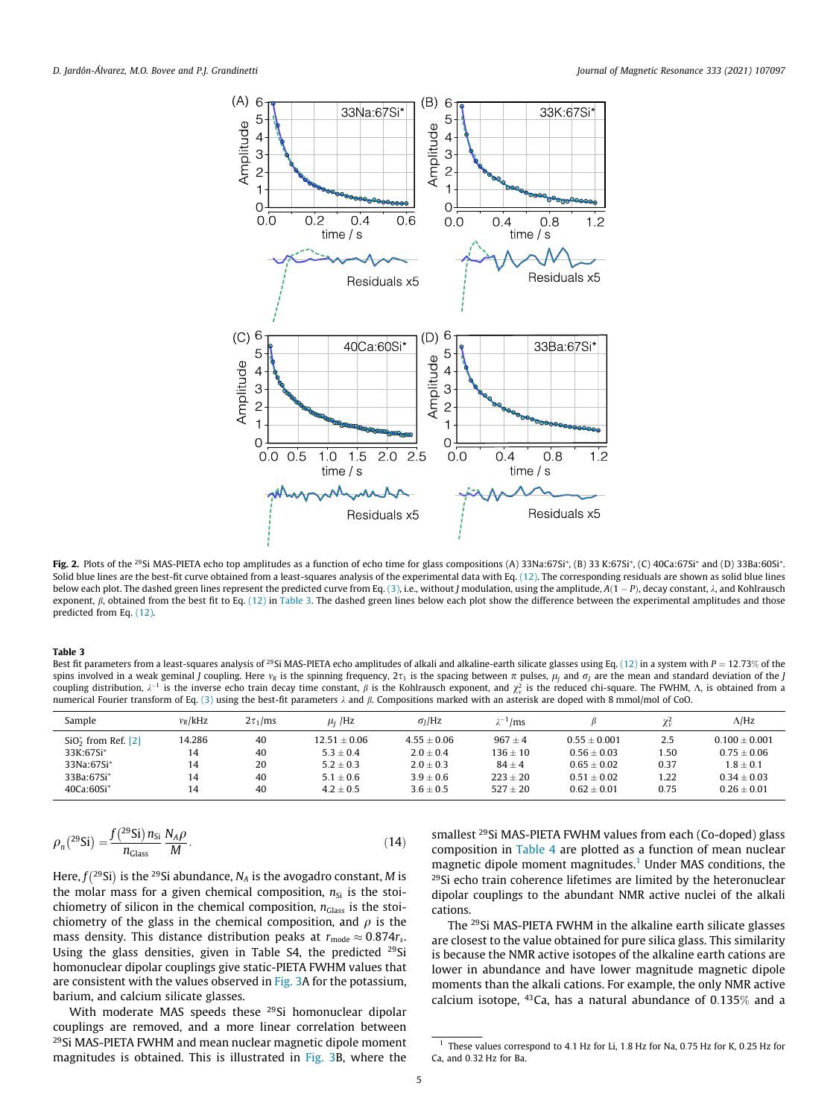<span id="page-4-0"></span>

**Fig. 2.** Plots of the <sup>29</sup>Si MAS-PIETA echo top amplitudes as a function of echo time for glass compositions (A) 33Na:67Si\*, (B) 33 K:67Si\*, (C) 40Ca:67Si\* and (D) 33Ba:60Si\*. Solid blue lines are the best-fit curve obtained from a least-squares analysis of the experimental data with Eq. [\(12\).](#page-3-0) The corresponding residuals are shown as solid blue lines below each plot. The dashed green lines represent the predicted curve from Eq. [\(3\),](#page-2-0) i.e., without J modulation, using the amplitude,  $A(1 - P)$ , decay constant,  $\lambda$ , and Kohlrausch exponent,  $\beta$ , obtained from the best fit to Eq. [\(12\)](#page-3-0) in Table 3. The dashed green lines below each plot show the difference between the experimental amplitudes and those predicted from Eq. [\(12\).](#page-3-0)

Best fit parameters from a least-squares analysis of <sup>29</sup>Si MAS-PIETA echo amplitudes of alkali and alkaline-earth silicate glasses using Eq. [\(12\)](#page-3-0) in a system with P = 12.73% of the spins involved in a weak geminal J coupling. Here  $v_R$  is the spinning frequency,  $2\tau_1$  is the spacing between  $\pi$  pulses,  $\mu_1$  and  $\sigma_j$  are the mean and standard deviation of the J coupling distribution,  $\lambda^{-1}$  is the inverse echo train decay time constant,  $\beta$  is the Kohlrausch exponent, and  $\chi^2_v$  is the reduced chi-square. The FWHM, A, is obtained from a numerical Fourier transform of Eq. [\(3\)](#page-2-0) using the best-fit parameters  $\lambda$  and  $\beta$ . Compositions marked with an asterisk are doped with 8 mmol/mol of CoO.

| Sample                | $v_R$ /kHz | $2\tau_1$ /ms | $\mu$ <sub>I</sub> /Hz | $\sigma$ <sub>I</sub> /Hz | $\gamma^{-1}/\text{ms}$ |                |      | $\Lambda$ /Hz   |
|-----------------------|------------|---------------|------------------------|---------------------------|-------------------------|----------------|------|-----------------|
| $SiO2*$ from Ref. [2] | 14.286     | 40            | $12.51 \pm 0.06$       | $4.55 \pm 0.06$           | $967 \pm 4$             | $0.55 + 0.001$ | 2.5  | $0.100 + 0.001$ |
| 33K:67Si*             | 14         | 40            | $5.3 + 0.4$            | $2.0 + 0.4$               | $136 + 10$              | $0.56 + 0.03$  | .50  | $0.75 + 0.06$   |
| 33Na:67Si*            | 14         | 20            | $5.2 + 0.3$            | $2.0 \pm 0.3$             | $84 \pm 4$              | $0.65 + 0.02$  | 0.37 | $1.8 + 0.1$     |
| $33Ba:67Si*$          | 14         | 40            | $5.1 + 0.6$            | $3.9 + 0.6$               | $223 + 20$              | $0.51 + 0.02$  | 1.22 | $0.34 + 0.03$   |
| $40Ca:60Si*$          | 14         | 40            | $4.2 + 0.5$            | $3.6 + 0.5$               | $527 + 20$              | $0.62 + 0.01$  | 0.75 | $0.26 + 0.01$   |

$$
\rho_n(^{29}\text{Si}) = \frac{f(^{29}\text{Si}) n_{\text{Si}}}{n_{\text{Glass}}} \frac{N_A \rho}{M}.
$$
\n(14)

Here,  $f(^{29}Si)$  is the <sup>29</sup>Si abundance,  $N_A$  is the avogadro constant, M is the molar mass for a given chemical composition,  $n_{Si}$  is the stoichiometry of silicon in the chemical composition,  $n_{\text{Glass}}$  is the stoichiometry of the glass in the chemical composition, and  $\rho$  is the mass density. This distance distribution peaks at  $r_{\text{mode}} \approx 0.874 r_s$ . Using the glass densities, given in Table S4, the predicted <sup>29</sup>Si homonuclear dipolar couplings give static-PIETA FWHM values that are consistent with the values observed in [Fig. 3A](#page-6-0) for the potassium, barium, and calcium silicate glasses.

With moderate MAS speeds these <sup>29</sup>Si homonuclear dipolar couplings are removed, and a more linear correlation between 29Si MAS-PIETA FWHM and mean nuclear magnetic dipole moment magnitudes is obtained. This is illustrated in [Fig. 3](#page-6-0)B, where the

smallest <sup>29</sup>Si MAS-PIETA FWHM values from each (Co-doped) glass composition in [Table 4](#page-5-0) are plotted as a function of mean nuclear magnetic dipole moment magnitudes.<sup>1</sup> Under MAS conditions, the <sup>29</sup>Si echo train coherence lifetimes are limited by the heteronuclear dipolar couplings to the abundant NMR active nuclei of the alkali cations.

The 29Si MAS-PIETA FWHM in the alkaline earth silicate glasses are closest to the value obtained for pure silica glass. This similarity is because the NMR active isotopes of the alkaline earth cations are lower in abundance and have lower magnitude magnetic dipole moments than the alkali cations. For example, the only NMR active calcium isotope,  $43$ Ca, has a natural abundance of 0.135% and a

<sup>&</sup>lt;sup>1</sup> These values correspond to 4.1 Hz for Li, 1.8 Hz for Na, 0.75 Hz for K, 0.25 Hz for Ca, and 0:32 Hz for Ba.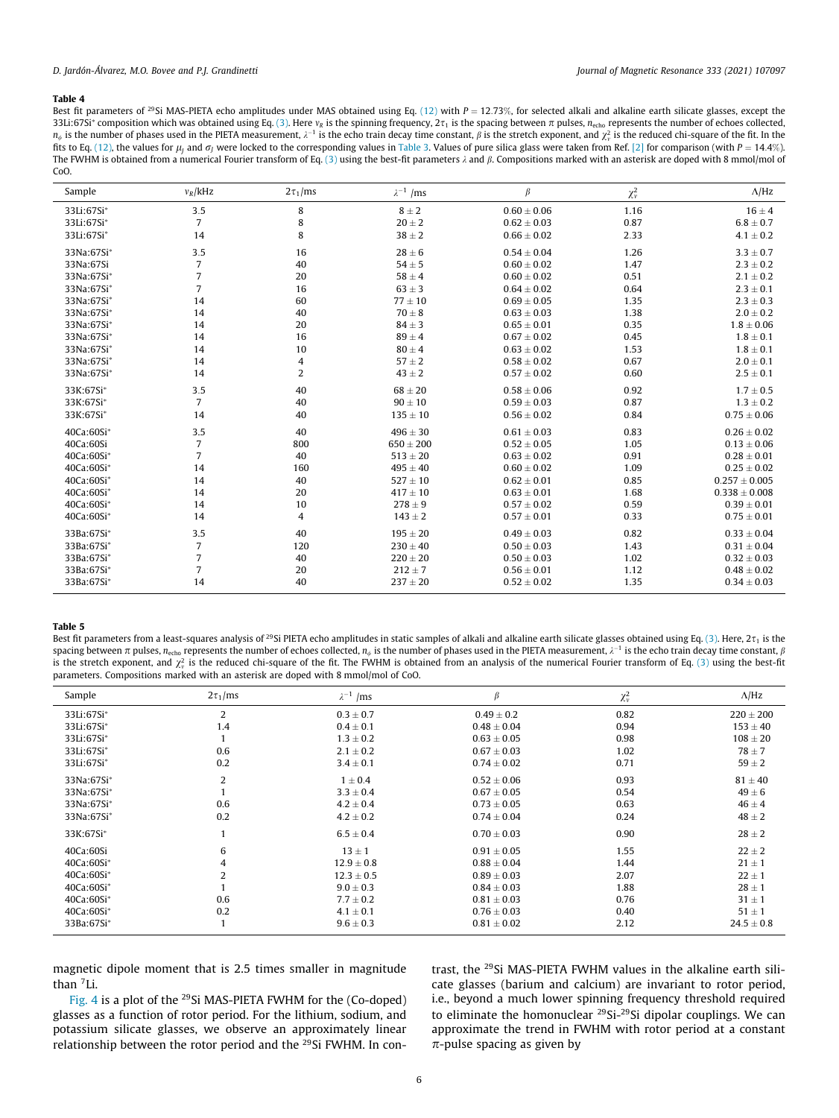<span id="page-5-0"></span>Best fit parameters of <sup>29</sup>Si MAS-PIETA echo amplitudes under MAS obtained using Eq. [\(12\)](#page-3-0) with  $P = 12.73\%$ , for selected alkali and alkaline earth silicate glasses, except the 33Li:67Si<sup>\*</sup> composition which was obtained using Eq. [\(3\).](#page-2-0) Here  $v_R$  is the spinning frequency,  $2\tau_1$  is the spacing between  $\pi$  pulses,  $n_{\text{echo}}$  represents the number of echoes collected,  $n_{\phi}$  is the number of phases used in the PIETA measurement,  $\lambda^{-1}$  is the echo train decay time constant,  $\beta$  is the stretch exponent, and  $\chi^2_v$  is the reduced chi-square of the fit. In the fits to Eq. [\(12\)](#page-3-0), the values for  $\mu$ , and  $\sigma$ <sub>I</sub> were locked to the corresponding values in [Table 3](#page-4-0). Values of pure silica glass were taken from Ref. [\[2\]](#page-10-0) for comparison (with  $P = 14.4\%$ ). The FWHM is obtained from a numerical Fourier transform of Eq. [\(3\)](#page-2-0) using the best-fit parameters  $\lambda$  and  $\beta$ . Compositions marked with an asterisk are doped with 8 mmol/mol of CoO.

| Sample     | $v_R$ /kHz     | $2\tau_1$ /ms  | $\lambda^{-1}$ /ms | $\beta$         | $\chi^2_\nu$ | $\Lambda$ /Hz     |
|------------|----------------|----------------|--------------------|-----------------|--------------|-------------------|
| 33Li:67Si* | 3.5            | 8              | $8 \pm 2$          | $0.60 \pm 0.06$ | 1.16         | $16 \pm 4$        |
| 33Li:67Si* | $\overline{7}$ | 8              | $20\pm2$           | $0.62 \pm 0.03$ | 0.87         | $6.8 \pm 0.7$     |
| 33Li:67Si* | 14             | 8              | $38 \pm 2$         | $0.66 \pm 0.02$ | 2.33         | $4.1 \pm 0.2$     |
| 33Na:67Si* | 3.5            | 16             | $28 \pm 6$         | $0.54 \pm 0.04$ | 1.26         | $3.3 \pm 0.7$     |
| 33Na:67Si  | 7              | 40             | $54 \pm 5$         | $0.60 \pm 0.02$ | 1.47         | $2.3 \pm 0.2$     |
| 33Na:67Si* | $\overline{7}$ | 20             | $58 \pm 4$         | $0.60 \pm 0.02$ | 0.51         | $2.1 \pm 0.2$     |
| 33Na:67Si* | $\overline{7}$ | 16             | $63 \pm 3$         | $0.64 \pm 0.02$ | 0.64         | $2.3 \pm 0.1$     |
| 33Na:67Si* | 14             | 60             | $77 \pm 10$        | $0.69 \pm 0.05$ | 1.35         | $2.3 \pm 0.3$     |
| 33Na:67Si* | 14             | 40             | $70 \pm 8$         | $0.63 \pm 0.03$ | 1.38         | $2.0\pm0.2$       |
| 33Na:67Si* | 14             | 20             | $84 \pm 3$         | $0.65 \pm 0.01$ | 0.35         | $1.8 \pm 0.06$    |
| 33Na:67Si* | 14             | 16             | $89 \pm 4$         | $0.67 \pm 0.02$ | 0.45         | $1.8\pm0.1$       |
| 33Na:67Si* | 14             | 10             | $80 \pm 4$         | $0.63 \pm 0.02$ | 1.53         | $1.8\pm0.1$       |
| 33Na:67Si* | 14             | 4              | $57 \pm 2$         | $0.58 \pm 0.02$ | 0.67         | $2.0 \pm 0.1$     |
| 33Na:67Si* | 14             | $\overline{2}$ | $43 \pm 2$         | $0.57 \pm 0.02$ | 0.60         | $2.5 \pm 0.1$     |
| 33K:67Si*  | 3.5            | 40             | $68 \pm 20$        | $0.58 \pm 0.06$ | 0.92         | $1.7 \pm 0.5$     |
| 33K:67Si*  | $\overline{7}$ | 40             | $90\pm10$          | $0.59 \pm 0.03$ | 0.87         | $1.3 \pm 0.2$     |
| 33K:67Si*  | 14             | 40             | $135\pm10$         | $0.56\pm0.02$   | 0.84         | $0.75 \pm 0.06$   |
| 40Ca:60Si* | 3.5            | 40             | $496 \pm 30$       | $0.61 \pm 0.03$ | 0.83         | $0.26 \pm 0.02$   |
| 40Ca:60Si  | 7              | 800            | $650 \pm 200$      | $0.52 \pm 0.05$ | 1.05         | $0.13 \pm 0.06$   |
| 40Ca:60Si* | $\overline{7}$ | 40             | $513\pm20$         | $0.63 \pm 0.02$ | 0.91         | $0.28 \pm 0.01$   |
| 40Ca:60Si* | 14             | 160            | $495 \pm 40$       | $0.60 \pm 0.02$ | 1.09         | $0.25 \pm 0.02$   |
| 40Ca:60Si* | 14             | 40             | $527 \pm 10$       | $0.62 \pm 0.01$ | 0.85         | $0.257 \pm 0.005$ |
| 40Ca:60Si* | 14             | 20             | $417 \pm 10$       | $0.63 \pm 0.01$ | 1.68         | $0.338 \pm 0.008$ |
| 40Ca:60Si* | 14             | 10             | $278 \pm 9$        | $0.57 \pm 0.02$ | 0.59         | $0.39 \pm 0.01$   |
| 40Ca:60Si* | 14             | 4              | $143 \pm 2$        | $0.57 \pm 0.01$ | 0.33         | $0.75 \pm 0.01$   |
| 33Ba:67Si* | 3.5            | 40             | $195 \pm 20$       | $0.49 \pm 0.03$ | 0.82         | $0.33 \pm 0.04$   |
| 33Ba:67Si* | $\overline{7}$ | 120            | $230 \pm 40$       | $0.50 \pm 0.03$ | 1.43         | $0.31 \pm 0.04$   |
| 33Ba:67Si* | $\overline{7}$ | 40             | $220 \pm 20$       | $0.50 \pm 0.03$ | 1.02         | $0.32 \pm 0.03$   |
| 33Ba:67Si* | $\overline{7}$ | 20             | $212 \pm 7$        | $0.56 \pm 0.01$ | 1.12         | $0.48 \pm 0.02$   |
| 33Ba:67Si* | 14             | 40             | $237 \pm 20$       | $0.52 \pm 0.02$ | 1.35         | $0.34 \pm 0.03$   |

## Table 5

Best fit parameters from a least-squares analysis of <sup>29</sup>Si PIETA echo amplitudes in static samples of alkali and alkaline earth silicate glasses obtained using Eq. [\(3\)](#page-2-0). Here,  $2\tau_1$  is the spacing between  $\pi$  pulses, n<sub>echo</sub> represents the number of echoes collected,  $n_{\phi}$  is the number of phases used in the PIETA measurement,  $\lambda^{-1}$  is the echo train decay time constant,  $\beta$ is the stretch exponent, and  $\chi^2$  is the reduced chi-square of the fit. The FWHM is obtained from an analysis of the numerical Fourier transform of Eq. [\(3\)](#page-2-0) using the best-fit parameters. Compositions marked with an asterisk are doped with 8 mmol/mol of CoO.

| Sample       | $2\tau_1$ /ms  | $\lambda^{-1}$ /ms | β               | $\chi^2_{\nu}$ | $\Lambda$ /Hz  |
|--------------|----------------|--------------------|-----------------|----------------|----------------|
| 33Li:67Si*   | 2              | $0.3 \pm 0.7$      | $0.49 \pm 0.2$  | 0.82           | $220 \pm 200$  |
| 33Li:67Si*   | 1.4            | $0.4 \pm 0.1$      | $0.48 \pm 0.04$ | 0.94           | $153 \pm 40$   |
| 33Li:67Si*   |                | $1.3 \pm 0.2$      | $0.63 + 0.05$   | 0.98           | $108 + 20$     |
| 33Li:67Si*   | 0.6            | $2.1 \pm 0.2$      | $0.67 \pm 0.03$ | 1.02           | $78 \pm 7$     |
| 33Li:67Si*   | 0.2            | $3.4 \pm 0.1$      | $0.74 \pm 0.02$ | 0.71           | $59 \pm 2$     |
| 33Na:67Si*   | 2              | $1 \pm 0.4$        | $0.52 \pm 0.06$ | 0.93           | $81 \pm 40$    |
| 33Na:67Si*   |                | $3.3 \pm 0.4$      | $0.67 + 0.05$   | 0.54           | $49 \pm 6$     |
| 33Na:67Si*   | 0.6            | $4.2 \pm 0.4$      | $0.73 \pm 0.05$ | 0.63           | $46 \pm 4$     |
| 33Na:67Si*   | 0.2            | $4.2 \pm 0.2$      | $0.74 \pm 0.04$ | 0.24           | $48 \pm 2$     |
| 33K:67Si*    |                | $6.5 \pm 0.4$      | $0.70 \pm 0.03$ | 0.90           | $28 \pm 2$     |
| 40Ca:60Si    | 6              | $13 \pm 1$         | $0.91 \pm 0.05$ | 1.55           | $22 \pm 2$     |
| 40Ca:60Si*   | 4              | $12.9 \pm 0.8$     | $0.88 \pm 0.04$ | 1.44           | $21 \pm 1$     |
| 40Ca:60Si*   | $\overline{2}$ | $12.3 \pm 0.5$     | $0.89 \pm 0.03$ | 2.07           | $22 \pm 1$     |
| $40Ca:60Si*$ |                | $9.0 \pm 0.3$      | $0.84 \pm 0.03$ | 1.88           | $28 \pm 1$     |
| 40Ca:60Si*   | 0.6            | $7.7 + 0.2$        | $0.81 + 0.03$   | 0.76           | $31 \pm 1$     |
| 40Ca:60Si*   | 0.2            | $4.1 \pm 0.1$      | $0.76 \pm 0.03$ | 0.40           | $51 \pm 1$     |
| 33Ba:67Si*   |                | $9.6 \pm 0.3$      | $0.81 \pm 0.02$ | 2.12           | $24.5 \pm 0.8$ |

magnetic dipole moment that is 2.5 times smaller in magnitude than 7Li.

[Fig. 4](#page-6-0) is a plot of the 29Si MAS-PIETA FWHM for the (Co-doped) glasses as a function of rotor period. For the lithium, sodium, and potassium silicate glasses, we observe an approximately linear relationship between the rotor period and the <sup>29</sup>Si FWHM. In contrast, the 29Si MAS-PIETA FWHM values in the alkaline earth silicate glasses (barium and calcium) are invariant to rotor period, i.e., beyond a much lower spinning frequency threshold required to eliminate the homonuclear 29Si-29Si dipolar couplings. We can approximate the trend in FWHM with rotor period at a constant  $\pi$ -pulse spacing as given by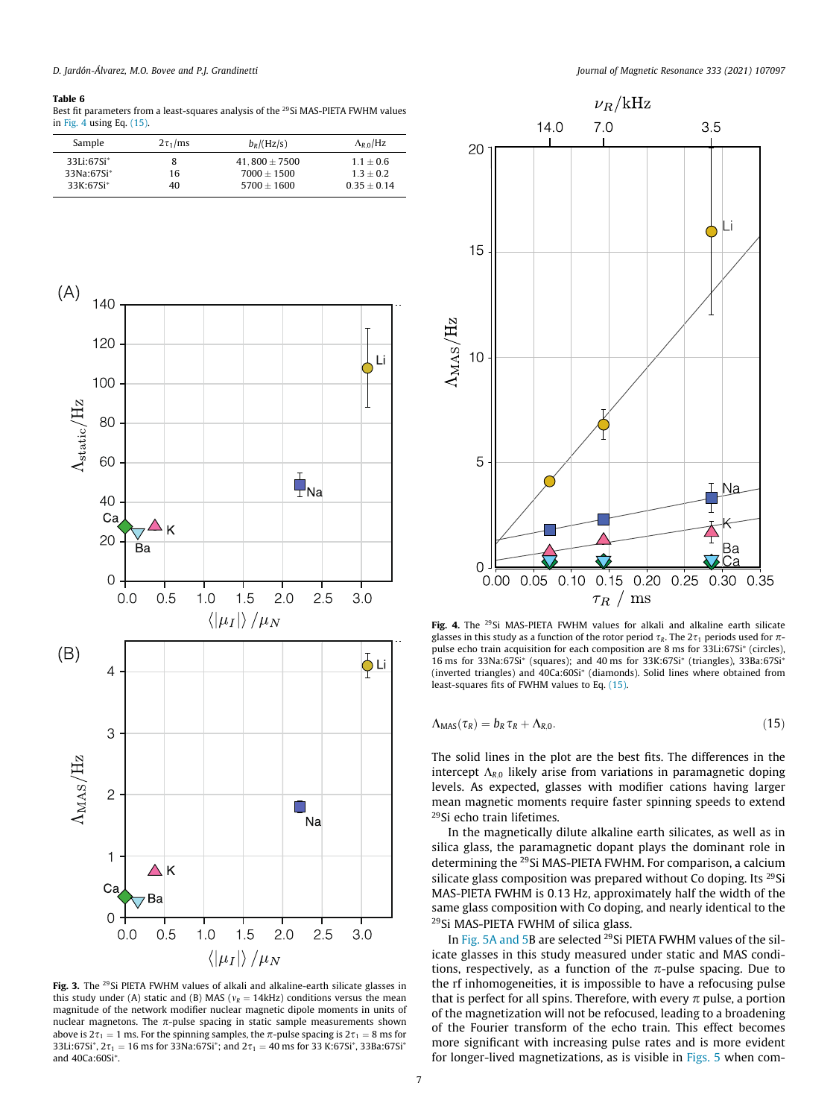<span id="page-6-0"></span>

Best fit parameters from a least-squares analysis of the <sup>29</sup>Si MAS-PIETA FWHM values in Fig. 4 using Eq. [\(15\).](#page-5-0)

| Sample       | $2\tau_1/ms$ | $b_R/(Hz/s)$      | $\Lambda_{R,0}/Hz$ |
|--------------|--------------|-------------------|--------------------|
| 33Li:67Si*   | 8            | $41.800 \pm 7500$ | $1.1 + 0.6$        |
| $33Na:67Si*$ | 16           | $7000 + 1500$     | $1.3 + 0.2$        |
| $33K:67Si*$  | 40           | $5700 + 1600$     | $0.35 + 0.14$      |



Fig. 3. The <sup>29</sup>Si PIETA FWHM values of alkali and alkaline-earth silicate glasses in this study under (A) static and (B) MAS ( $v_R = 14$ kHz) conditions versus the mean magnitude of the network modifier nuclear magnetic dipole moments in units of nuclear magnetons. The  $\pi$ -pulse spacing in static sample measurements shown above is  $2\tau_1 = 1$  ms. For the spinning samples, the  $\pi$ -pulse spacing is  $2\tau_1 = 8$  ms for 33Li:67Si<sup>\*</sup>, 2 $\tau_1$  = 16 ms for 33Na:67Si<sup>\*</sup>; and 2 $\tau_1$  = 40 ms for 33 K:67Si<sup>\*</sup>, 33Ba:67Si<sup>\*</sup> and 40Ca:60Si⁄ .



Fig. 4. The <sup>29</sup>Si MAS-PIETA FWHM values for alkali and alkaline earth silicate glasses in this study as a function of the rotor period  $\tau_R$ . The  $2\tau_1$  periods used for  $\pi$ pulse echo train acquisition for each composition are 8 ms for  $33Li:67Si*$  (circles), 16 ms for 33Na:67Si<sup>\*</sup> (squares); and 40 ms for 33K:67Si<sup>\*</sup> (triangles), 33Ba:67Si<sup>\*</sup> (inverted triangles) and 40Ca:60Si⁄ (diamonds). Solid lines where obtained from least-squares fits of FWHM values to Eq. [\(15\).](#page-5-0)

$$
\Lambda_{\text{MAS}}(\tau_R) = b_R \tau_R + \Lambda_{R,0}.\tag{15}
$$

The solid lines in the plot are the best fits. The differences in the intercept  $\Lambda_{R,0}$  likely arise from variations in paramagnetic doping levels. As expected, glasses with modifier cations having larger mean magnetic moments require faster spinning speeds to extend 29Si echo train lifetimes.

In the magnetically dilute alkaline earth silicates, as well as in silica glass, the paramagnetic dopant plays the dominant role in determining the 29Si MAS-PIETA FWHM. For comparison, a calcium silicate glass composition was prepared without Co doping. Its <sup>29</sup>Si MAS-PIETA FWHM is 0:13 Hz, approximately half the width of the same glass composition with Co doping, and nearly identical to the 29Si MAS-PIETA FWHM of silica glass.

In [Fig. 5A and 5B](#page-7-0) are selected <sup>29</sup>Si PIETA FWHM values of the silicate glasses in this study measured under static and MAS conditions, respectively, as a function of the  $\pi$ -pulse spacing. Due to the rf inhomogeneities, it is impossible to have a refocusing pulse that is perfect for all spins. Therefore, with every  $\pi$  pulse, a portion of the magnetization will not be refocused, leading to a broadening of the Fourier transform of the echo train. This effect becomes more significant with increasing pulse rates and is more evident for longer-lived magnetizations, as is visible in [Figs. 5](#page-7-0) when com-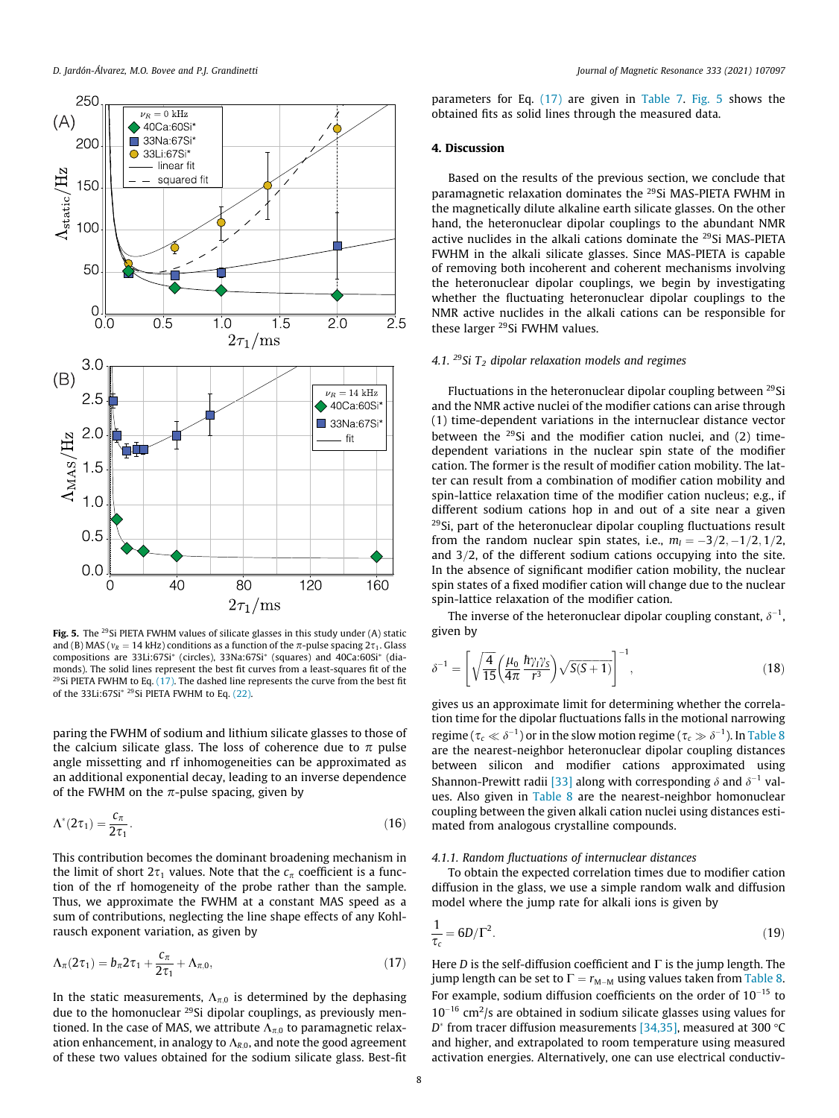<span id="page-7-0"></span>

Fig. 5. The <sup>29</sup>Si PIETA FWHM values of silicate glasses in this study under (A) static and (B) MAS ( $v_R = 14$  kHz) conditions as a function of the  $\pi$ -pulse spacing  $2\tau_1$ . Glass compositions are 33Li:67Si<sup>\*</sup> (circles), 33Na:67Si<sup>\*</sup> (squares) and 40Ca:60Si<sup>\*</sup> (diamonds). The solid lines represent the best fit curves from a least-squares fit of the <sup>29</sup>Si PIETA FWHM to Eq.  $(17)$ . The dashed line represents the curve from the best fit of the 33Li:67Si<sup>\* 29</sup>Si PIETA FWHM to Eq. [\(22\)](#page-9-0).

paring the FWHM of sodium and lithium silicate glasses to those of the calcium silicate glass. The loss of coherence due to  $\pi$  pulse angle missetting and rf inhomogeneities can be approximated as an additional exponential decay, leading to an inverse dependence of the FWHM on the  $\pi$ -pulse spacing, given by

$$
\Lambda^*(2\tau_1) = \frac{c_\pi}{2\tau_1}.\tag{16}
$$

This contribution becomes the dominant broadening mechanism in the limit of short  $2\tau_1$  values. Note that the  $c_\pi$  coefficient is a function of the rf homogeneity of the probe rather than the sample. Thus, we approximate the FWHM at a constant MAS speed as a sum of contributions, neglecting the line shape effects of any Kohlrausch exponent variation, as given by

$$
\Lambda_{\pi}(2\tau_1) = b_{\pi} 2\tau_1 + \frac{c_{\pi}}{2\tau_1} + \Lambda_{\pi,0},\tag{17}
$$

In the static measurements,  $\Lambda_{\pi,0}$  is determined by the dephasing due to the homonuclear 29Si dipolar couplings, as previously mentioned. In the case of MAS, we attribute  $\Lambda_{\pi,0}$  to paramagnetic relaxation enhancement, in analogy to  $\Lambda_{R,0}$ , and note the good agreement of these two values obtained for the sodium silicate glass. Best-fit

parameters for Eq. (17) are given in [Table 7.](#page-8-0) Fig. 5 shows the obtained fits as solid lines through the measured data.

# 4. Discussion

Based on the results of the previous section, we conclude that paramagnetic relaxation dominates the 29Si MAS-PIETA FWHM in the magnetically dilute alkaline earth silicate glasses. On the other hand, the heteronuclear dipolar couplings to the abundant NMR active nuclides in the alkali cations dominate the 29Si MAS-PIETA FWHM in the alkali silicate glasses. Since MAS-PIETA is capable of removing both incoherent and coherent mechanisms involving the heteronuclear dipolar couplings, we begin by investigating whether the fluctuating heteronuclear dipolar couplings to the NMR active nuclides in the alkali cations can be responsible for these larger 29Si FWHM values.

# 4.1. <sup>29</sup>Si  $T_2$  dipolar relaxation models and regimes

Fluctuations in the heteronuclear dipolar coupling between 29Si and the NMR active nuclei of the modifier cations can arise through (1) time-dependent variations in the internuclear distance vector between the  $^{29}$ Si and the modifier cation nuclei, and (2) timedependent variations in the nuclear spin state of the modifier cation. The former is the result of modifier cation mobility. The latter can result from a combination of modifier cation mobility and spin-lattice relaxation time of the modifier cation nucleus; e.g., if different sodium cations hop in and out of a site near a given 29Si, part of the heteronuclear dipolar coupling fluctuations result from the random nuclear spin states, i.e.,  $m<sub>l</sub> = -3/2, -1/2, 1/2$ , and  $3/2$ , of the different sodium cations occupying into the site. In the absence of significant modifier cation mobility, the nuclear spin states of a fixed modifier cation will change due to the nuclear spin-lattice relaxation of the modifier cation.

The inverse of the heteronuclear dipolar coupling constant,  $\delta^{-1}$ , given by

$$
\delta^{-1} = \left[ \sqrt{\frac{4}{15}} \left( \frac{\mu_0}{4\pi} \frac{\hbar \gamma_1 \gamma_5}{r^3} \right) \sqrt{S(S+1)} \right]^{-1},\tag{18}
$$

gives us an approximate limit for determining whether the correlation time for the dipolar fluctuations falls in the motional narrowing regime (  $\tau_c \ll \delta^{-1}$  ) or in the slow motion regime (  $\tau_c \gg \delta^{-1}$  ). In [Table 8](#page-8-0) are the nearest-neighbor heteronuclear dipolar coupling distances between silicon and modifier cations approximated using Shannon-Prewitt radii [\[33\]](#page-11-0) along with corresponding  $\delta$  and  $\delta^{-1}$  values. Also given in [Table 8](#page-8-0) are the nearest-neighbor homonuclear coupling between the given alkali cation nuclei using distances estimated from analogous crystalline compounds.

## 4.1.1. Random fluctuations of internuclear distances

To obtain the expected correlation times due to modifier cation diffusion in the glass, we use a simple random walk and diffusion model where the jump rate for alkali ions is given by

$$
\frac{1}{\tau_c} = 6D/\Gamma^2. \tag{19}
$$

Here *D* is the self-diffusion coefficient and  $\Gamma$  is the jump length. The jump length can be set to  $\Gamma = r_{M-M}$  using values taken from [Table 8.](#page-8-0) For example, sodium diffusion coefficients on the order of  $10^{-15}$  to  $10^{-16}$  cm<sup>2</sup>/s are obtained in sodium silicate glasses using values for  $D^*$  from tracer diffusion measurements [\[34,35\],](#page-11-0) measured at 300 °C and higher, and extrapolated to room temperature using measured activation energies. Alternatively, one can use electrical conductiv-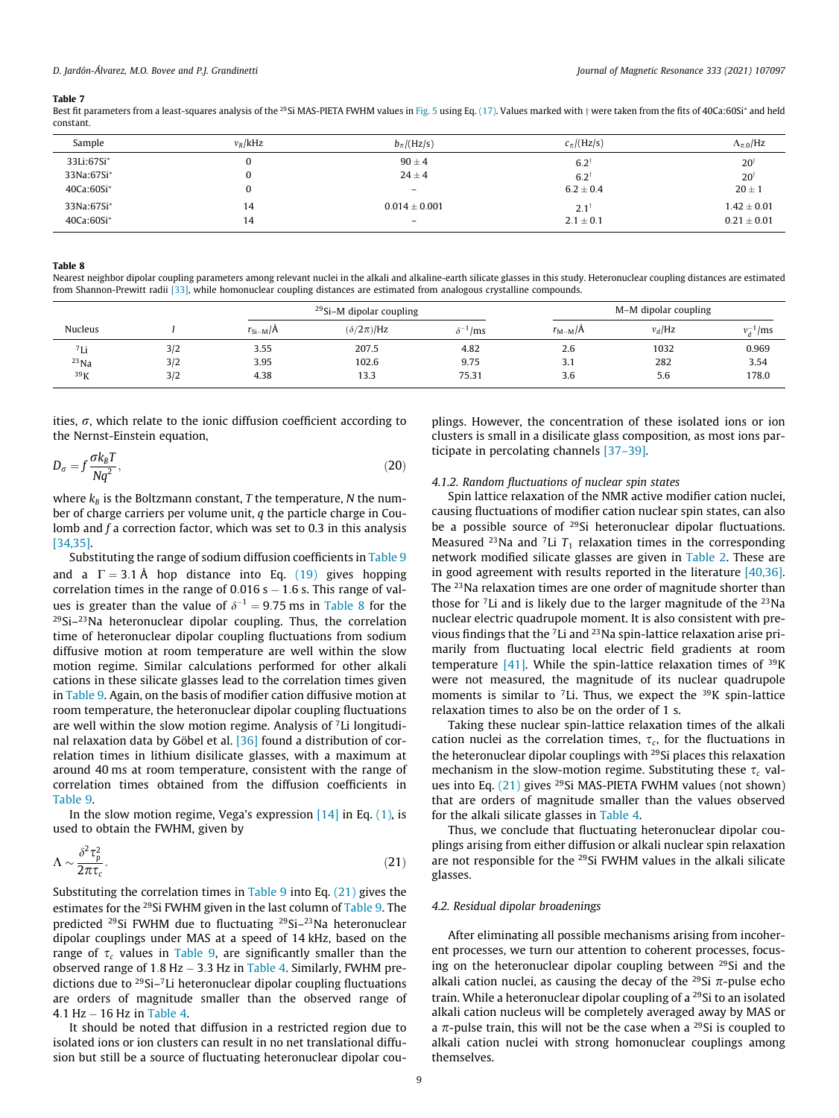<span id="page-8-0"></span>Best fit parameters from a least-squares analysis of the <sup>29</sup>Si MAS-PIETA FWHM values in [Fig. 5](#page-7-0) using Eq. [\(17\)](#page-7-0). Values marked with  $\dagger$  were taken from the fits of 40Ca:60Si<sup>\*</sup> and held constant.

| Sample     | $v_R$ /kHz | $b_\pi$ /(Hz/s)          | $c_{\pi}/(\text{Hz/s})$ | $\Lambda_{\pi,0}$ /Hz |
|------------|------------|--------------------------|-------------------------|-----------------------|
| 33Li:67Si* |            | $90 \pm 4$               | $6.2^{\dagger}$         | $20^{\dagger}$        |
| 33Na:67Si* |            | $24 \pm 4$               | $6.2^{\dagger}$         | $20^{\dagger}$        |
| 40Ca:60Si* |            | $\overline{\phantom{0}}$ | $6.2 \pm 0.4$           | $20 \pm 1$            |
| 33Na:67Si* | 14         | $0.014 + 0.001$          | $2.1^{\circ}$           | $1.42 \pm 0.01$       |
| 40Ca:60Si* | 14         | $\overline{\phantom{0}}$ | $2.1 \pm 0.1$           | $0.21 \pm 0.01$       |

#### Table 8

Nearest neighbor dipolar coupling parameters among relevant nuclei in the alkali and alkaline-earth silicate glasses in this study. Heteronuclear coupling distances are estimated from Shannon-Prewitt radii [\[33\],](#page-11-0) while homonuclear coupling distances are estimated from analogous crystalline compounds.

|              |     |                            | <sup>29</sup> Si-M dipolar coupling |                   |                 | M-M dipolar coupling |               |  |
|--------------|-----|----------------------------|-------------------------------------|-------------------|-----------------|----------------------|---------------|--|
| Nucleus      |     | $r_{\text{Si}-\text{M}}/A$ | $(\delta/2\pi)/Hz$                  | $\delta^-$<br>/ms | $r_{\rm M-M}/A$ | $v_d$ /Hz            | $v_d^{-1}/ms$ |  |
| $7I$ ;<br>LЦ | 3/2 | 3.55                       | 207.5                               | 4.82              | 2.6             | 1032                 | 0.969         |  |
| $^{23}$ Na   | 3/2 | 3.95                       | 102.6                               | 9.75              | 3.1             | 282                  | 3.54          |  |
| 39K          | 3/2 | 4.38                       | 13.3                                | 75.31             | 3.6             | 5.6                  | 178.0         |  |

ities,  $\sigma$ , which relate to the ionic diffusion coefficient according to the Nernst-Einstein equation,

$$
D_{\sigma} = f \frac{\sigma k_B T}{Nq^2},\tag{20}
$$

where  $k_B$  is the Boltzmann constant, T the temperature, N the number of charge carriers per volume unit,  $q$  the particle charge in Coulomb and  $f$  a correction factor, which was set to 0.3 in this analysis [\[34,35\]](#page-11-0).

Substituting the range of sodium diffusion coefficients in [Table 9](#page-9-0) and a  $\Gamma = 3.1 \text{ Å}$  hop distance into Eq. [\(19\)](#page-7-0) gives hopping correlation times in the range of  $0.016 s - 1.6 s$ . This range of values is greater than the value of  $\delta^{-1} = 9.75$  ms in Table 8 for the  $29$ Si $-23$ Na heteronuclear dipolar coupling. Thus, the correlation time of heteronuclear dipolar coupling fluctuations from sodium diffusive motion at room temperature are well within the slow motion regime. Similar calculations performed for other alkali cations in these silicate glasses lead to the correlation times given in [Table 9.](#page-9-0) Again, on the basis of modifier cation diffusive motion at room temperature, the heteronuclear dipolar coupling fluctuations are well within the slow motion regime. Analysis of 7Li longitudinal relaxation data by Göbel et al. [\[36\]](#page-11-0) found a distribution of correlation times in lithium disilicate glasses, with a maximum at around 40 ms at room temperature, consistent with the range of correlation times obtained from the diffusion coefficients in [Table 9](#page-9-0).

In the slow motion regime, Vega's expression  $[14]$  in Eq.  $(1)$ , is used to obtain the FWHM, given by

$$
\Lambda \sim \frac{\delta^2 \tau_p^2}{2\pi \tau_c}.
$$
\n(21)

Substituting the correlation times in [Table 9](#page-9-0) into Eq.  $(21)$  gives the estimates for the 29Si FWHM given in the last column of [Table 9](#page-9-0). The predicted 29Si FWHM due to fluctuating 29Si–23Na heteronuclear dipolar couplings under MAS at a speed of 14 kHz, based on the range of  $\tau_c$  values in [Table 9,](#page-9-0) are significantly smaller than the observed range of  $1.8$  Hz  $-$  3.3 Hz in [Table 4.](#page-5-0) Similarly, FWHM predictions due to 29Si–7Li heteronuclear dipolar coupling fluctuations are orders of magnitude smaller than the observed range of  $4.1$  Hz  $-16$  Hz in [Table 4.](#page-5-0)

It should be noted that diffusion in a restricted region due to isolated ions or ion clusters can result in no net translational diffusion but still be a source of fluctuating heteronuclear dipolar couplings. However, the concentration of these isolated ions or ion clusters is small in a disilicate glass composition, as most ions participate in percolating channels [\[37–39\].](#page-11-0)

# 4.1.2. Random fluctuations of nuclear spin states

Spin lattice relaxation of the NMR active modifier cation nuclei, causing fluctuations of modifier cation nuclear spin states, can also be a possible source of <sup>29</sup>Si heteronuclear dipolar fluctuations. Measured <sup>23</sup>Na and <sup>7</sup>Li  $T_1$  relaxation times in the corresponding network modified silicate glasses are given in [Table 2.](#page-2-0) These are in good agreement with results reported in the literature [\[40,36\].](#page-11-0) The 23Na relaxation times are one order of magnitude shorter than those for  ${}^{7}$ Li and is likely due to the larger magnitude of the  ${}^{23}$ Na nuclear electric quadrupole moment. It is also consistent with previous findings that the 7Li and 23Na spin-lattice relaxation arise primarily from fluctuating local electric field gradients at room temperature  $[41]$ . While the spin-lattice relaxation times of  $^{39}K$ were not measured, the magnitude of its nuclear quadrupole moments is similar to  ${}^{7}$ Li. Thus, we expect the  ${}^{39}$ K spin-lattice relaxation times to also be on the order of 1 s.

Taking these nuclear spin-lattice relaxation times of the alkali cation nuclei as the correlation times,  $\tau_c$ , for the fluctuations in the heteronuclear dipolar couplings with <sup>29</sup>Si places this relaxation mechanism in the slow-motion regime. Substituting these  $\tau_c$  values into Eq. (21) gives <sup>29</sup>Si MAS-PIETA FWHM values (not shown) that are orders of magnitude smaller than the values observed for the alkali silicate glasses in [Table 4.](#page-5-0)

Thus, we conclude that fluctuating heteronuclear dipolar couplings arising from either diffusion or alkali nuclear spin relaxation are not responsible for the 29Si FWHM values in the alkali silicate glasses.

# 4.2. Residual dipolar broadenings

After eliminating all possible mechanisms arising from incoherent processes, we turn our attention to coherent processes, focusing on the heteronuclear dipolar coupling between <sup>29</sup>Si and the alkali cation nuclei, as causing the decay of the <sup>29</sup>Si  $\pi$ -pulse echo train. While a heteronuclear dipolar coupling of a 29Si to an isolated alkali cation nucleus will be completely averaged away by MAS or a  $\pi$ -pulse train, this will not be the case when a <sup>29</sup>Si is coupled to alkali cation nuclei with strong homonuclear couplings among themselves.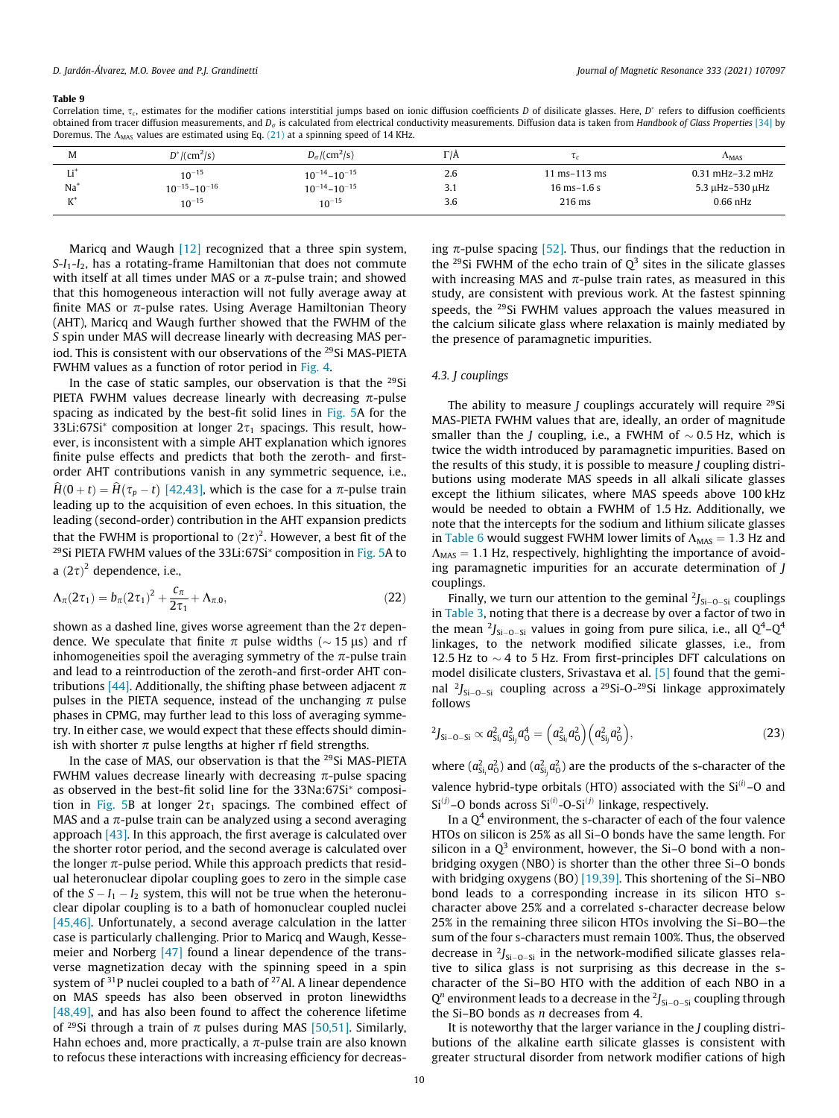<span id="page-9-0"></span>Correlation time,  $\tau_c$ , estimates for the modifier cations interstitial jumps based on ionic diffusion coefficients D of disilicate glasses. Here, D<sup>\*</sup> refers to diffusion coefficients obtained from tracer diffusion measurements, and  $D<sub>a</sub>$  is calculated from electrical conductivity measurements. Diffusion data is taken from Handbook of Glass Properties [\[34\]](#page-11-0) by Doremus. The  $\Lambda_{\text{MAS}}$  values are estimated using Eq. [\(21\)](#page-8-0) at a spinning speed of 14 KHz.

| М     | $D^*/(cm^2/s)$        | $D_{\sigma}/(\text{cm}^2/\text{s})$ | $\Gamma/\Lambda$ |                  | $\Lambda_{\rm MAS}$   |
|-------|-----------------------|-------------------------------------|------------------|------------------|-----------------------|
| x:    | $10^{-15}$            | $10^{-14} - 10^{-15}$               | 2.6              | $1$ ms-113 ms    | $0.31$ mHz $-3.2$ mHz |
| $Na+$ | $10^{-15} - 10^{-16}$ | $10^{-14} - 10^{-15}$               | २<br>ه.د         | $16$ ms- $1.6$ s | 5.3 µHz-530 µHz       |
| $L^+$ | $10^{-15}$            | $10^{-15}$                          | 3.6              | $216$ ms         | $0.66$ nHz            |

Maricq and Waugh [\[12\]](#page-10-0) recognized that a three spin system,  $S-I_1-I_2$ , has a rotating-frame Hamiltonian that does not commute with itself at all times under MAS or a  $\pi$ -pulse train; and showed that this homogeneous interaction will not fully average away at finite MAS or  $\pi$ -pulse rates. Using Average Hamiltonian Theory (AHT), Maricq and Waugh further showed that the FWHM of the S spin under MAS will decrease linearly with decreasing MAS period. This is consistent with our observations of the <sup>29</sup>Si MAS-PIETA FWHM values as a function of rotor period in [Fig. 4](#page-6-0).

In the case of static samples, our observation is that the <sup>29</sup>Si PIETA FWHM values decrease linearly with decreasing  $\pi$ -pulse spacing as indicated by the best-fit solid lines in [Fig. 5](#page-7-0)A for the 33Li:67Si<sup>\*</sup> composition at longer  $2\tau_1$  spacings. This result, however, is inconsistent with a simple AHT explanation which ignores finite pulse effects and predicts that both the zeroth- and firstorder AHT contributions vanish in any symmetric sequence, i.e.,  $\hat{H}(0+t) = \hat{H}(\tau_p - t)$  [\[42,43\]](#page-11-0), which is the case for a  $\pi$ -pulse train leading up to the acquisition of even echoes. In this situation, the leading (second-order) contribution in the AHT expansion predicts that the FWHM is proportional to  $(2\tau)^2$ . However, a best fit of the <sup>29</sup>Si PIETA FWHM values of the  $33Li:67Si^*$  composition in [Fig. 5A](#page-7-0) to a  $(2\tau)^2$  dependence, i.e.,

$$
\Lambda_{\pi}(2\tau_1) = b_{\pi}(2\tau_1)^2 + \frac{c_{\pi}}{2\tau_1} + \Lambda_{\pi,0},
$$
\n(22)

shown as a dashed line, gives worse agreement than the  $2\tau$  dependence. We speculate that finite  $\pi$  pulse widths ( $\sim$  15 µs) and rf inhomogeneities spoil the averaging symmetry of the  $\pi$ -pulse train and lead to a reintroduction of the zeroth-and first-order AHT con-tributions [\[44\].](#page-11-0) Additionally, the shifting phase between adjacent  $\pi$ pulses in the PIETA sequence, instead of the unchanging  $\pi$  pulse phases in CPMG, may further lead to this loss of averaging symmetry. In either case, we would expect that these effects should diminish with shorter  $\pi$  pulse lengths at higher rf field strengths.

In the case of MAS, our observation is that the 29Si MAS-PIETA FWHM values decrease linearly with decreasing  $\pi$ -pulse spacing as observed in the best-fit solid line for the 33Na:67Si\* composi-tion in [Fig. 5B](#page-7-0) at longer  $2\tau_1$  spacings. The combined effect of MAS and a  $\pi$ -pulse train can be analyzed using a second averaging approach  $[43]$ . In this approach, the first average is calculated over the shorter rotor period, and the second average is calculated over the longer  $\pi$ -pulse period. While this approach predicts that residual heteronuclear dipolar coupling goes to zero in the simple case of the  $S - I_1 - I_2$  system, this will not be true when the heteronuclear dipolar coupling is to a bath of homonuclear coupled nuclei [\[45,46\]](#page-11-0). Unfortunately, a second average calculation in the latter case is particularly challenging. Prior to Maricq and Waugh, Kesse-meier and Norberg [\[47\]](#page-11-0) found a linear dependence of the transverse magnetization decay with the spinning speed in a spin system of  $31P$  nuclei coupled to a bath of  $27$ Al. A linear dependence on MAS speeds has also been observed in proton linewidths [\[48,49\]](#page-11-0), and has also been found to affect the coherence lifetime of <sup>29</sup>Si through a train of  $\pi$  pulses during MAS [\[50,51\].](#page-11-0) Similarly, Hahn echoes and, more practically, a  $\pi$ -pulse train are also known to refocus these interactions with increasing efficiency for decreasing  $\pi$ -pulse spacing [\[52\]](#page-11-0). Thus, our findings that the reduction in the <sup>29</sup>Si FWHM of the echo train of  $O<sup>3</sup>$  sites in the silicate glasses with increasing MAS and  $\pi$ -pulse train rates, as measured in this study, are consistent with previous work. At the fastest spinning speeds, the <sup>29</sup>Si FWHM values approach the values measured in the calcium silicate glass where relaxation is mainly mediated by the presence of paramagnetic impurities.

# 4.3. J couplings

The ability to measure  $J$  couplings accurately will require  $^{29}$ Si MAS-PIETA FWHM values that are, ideally, an order of magnitude smaller than the *J* coupling, i.e., a FWHM of  $\sim$  0.5 Hz, which is twice the width introduced by paramagnetic impurities. Based on the results of this study, it is possible to measure J coupling distributions using moderate MAS speeds in all alkali silicate glasses except the lithium silicates, where MAS speeds above 100 kHz would be needed to obtain a FWHM of 1.5 Hz. Additionally, we note that the intercepts for the sodium and lithium silicate glasses in [Table 6](#page-6-0) would suggest FWHM lower limits of  $\Lambda_{\text{MAS}} = 1.3$  Hz and  $\Lambda_{\text{MAS}} = 1.1$  Hz, respectively, highlighting the importance of avoiding paramagnetic impurities for an accurate determination of J couplings.

Finally, we turn our attention to the geminal  $2J_{Si-O-Si}$  couplings in [Table 3](#page-4-0), noting that there is a decrease by over a factor of two in the mean  $\frac{2}{J_{\text{Si}-\text{O-Si}}}$  values in going from pure silica, i.e., all  $Q^4 - Q^4$ linkages, to the network modified silicate glasses, i.e., from 12.5 Hz to  $\sim$  4 to 5 Hz. From first-principles DFT calculations on model disilicate clusters, Srivastava et al. [\[5\]](#page-10-0) found that the geminal  $2J_{Si-O-Si}$  coupling across a <sup>29</sup>Si-O-<sup>29</sup>Si linkage approximately follows

$$
^{2}J_{Si-O-Si} \propto a_{Si_{i}}^{2}a_{Si_{j}}^{2}a_{O}^{4} = \left(a_{Si_{i}}^{2}a_{O}^{2}\right)\left(a_{Si_{j}}^{2}a_{O}^{2}\right),\tag{23}
$$

where  $(a_{\rm Si_{i}}^2a_{\rm O}^2)$  and  $(a_{\rm Si_{j}}^2a_{\rm O}^2)$  are the products of the s-character of the valence hybrid-type orbitals (HTO) associated with the  $Si^{(i)}$ –O and  $Si<sup>(j)</sup>$ –O bonds across  $Si<sup>(i)</sup>$ –O-Si $<sup>(j)</sup>$  linkage, respectively.</sup>

In a  $Q<sup>4</sup>$  environment, the s-character of each of the four valence HTOs on silicon is 25% as all Si–O bonds have the same length. For silicon in a  $Q^3$  environment, however, the Si-O bond with a nonbridging oxygen (NBO) is shorter than the other three Si–O bonds with bridging oxygens (BO) [\[19,39\].](#page-11-0) This shortening of the Si-NBO bond leads to a corresponding increase in its silicon HTO scharacter above 25% and a correlated s-character decrease below 25% in the remaining three silicon HTOs involving the Si–BO—the sum of the four s-characters must remain 100%. Thus, the observed decrease in  $2J_{Si-O-Si}$  in the network-modified silicate glasses relative to silica glass is not surprising as this decrease in the scharacter of the Si–BO HTO with the addition of each NBO in a  $Q^n$  environment leads to a decrease in the  $2J_{Si-O-Si}$  coupling through the Si–BO bonds as n decreases from 4.

It is noteworthy that the larger variance in the J coupling distributions of the alkaline earth silicate glasses is consistent with greater structural disorder from network modifier cations of high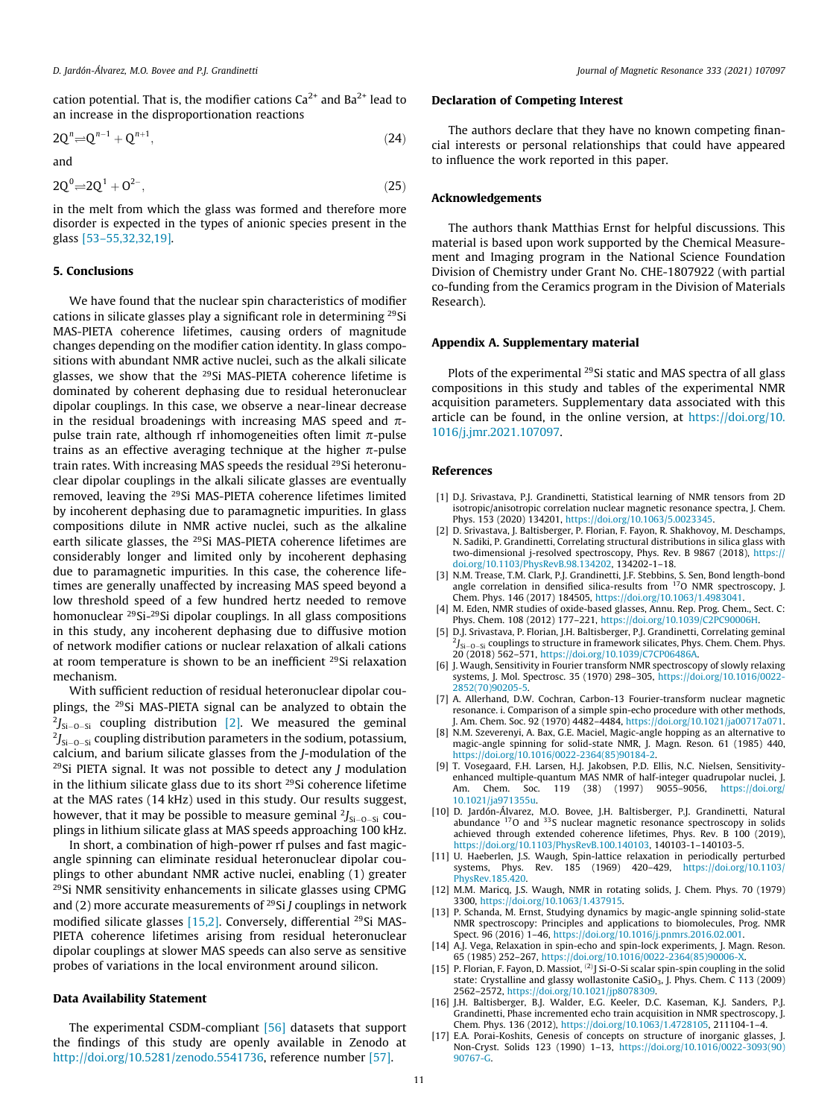<span id="page-10-0"></span>cation potential. That is, the modifier cations  $Ca^{2+}$  and  $Ba^{2+}$  lead to an increase in the disproportionation reactions

$$
2Q^n \rightleftharpoons Q^{n-1} + Q^{n+1},\tag{24}
$$

and

$$
2Q^0 \rightleftharpoons 2Q^1 + Q^{2-}, \tag{25}
$$

in the melt from which the glass was formed and therefore more disorder is expected in the types of anionic species present in the glass [\[53–55,32,32,19\].](#page-11-0)

# 5. Conclusions

We have found that the nuclear spin characteristics of modifier cations in silicate glasses play a significant role in determining 29Si MAS-PIETA coherence lifetimes, causing orders of magnitude changes depending on the modifier cation identity. In glass compositions with abundant NMR active nuclei, such as the alkali silicate glasses, we show that the 29Si MAS-PIETA coherence lifetime is dominated by coherent dephasing due to residual heteronuclear dipolar couplings. In this case, we observe a near-linear decrease in the residual broadenings with increasing MAS speed and  $\pi$ pulse train rate, although rf inhomogeneities often limit  $\pi$ -pulse trains as an effective averaging technique at the higher  $\pi$ -pulse train rates. With increasing MAS speeds the residual <sup>29</sup>Si heteronuclear dipolar couplings in the alkali silicate glasses are eventually removed, leaving the <sup>29</sup>Si MAS-PIETA coherence lifetimes limited by incoherent dephasing due to paramagnetic impurities. In glass compositions dilute in NMR active nuclei, such as the alkaline earth silicate glasses, the <sup>29</sup>Si MAS-PIETA coherence lifetimes are considerably longer and limited only by incoherent dephasing due to paramagnetic impurities. In this case, the coherence lifetimes are generally unaffected by increasing MAS speed beyond a low threshold speed of a few hundred hertz needed to remove homonuclear 29Si-29Si dipolar couplings. In all glass compositions in this study, any incoherent dephasing due to diffusive motion of network modifier cations or nuclear relaxation of alkali cations at room temperature is shown to be an inefficient <sup>29</sup>Si relaxation mechanism.

With sufficient reduction of residual heteronuclear dipolar couplings, the 29Si MAS-PIETA signal can be analyzed to obtain the  $^{2}I_{Si-O-Si}$  coupling distribution [2]. We measured the geminal  $^{2}J_{\rm Si-O-Si}$  coupling distribution parameters in the sodium, potassium, calcium, and barium silicate glasses from the J-modulation of the  $29$ Si PIETA signal. It was not possible to detect any *J* modulation in the lithium silicate glass due to its short 29Si coherence lifetime at the MAS rates (14 kHz) used in this study. Our results suggest, however, that it may be possible to measure geminal  $2J_{\text{Si}-O-Si}$  couplings in lithium silicate glass at MAS speeds approaching 100 kHz.

In short, a combination of high-power rf pulses and fast magicangle spinning can eliminate residual heteronuclear dipolar couplings to other abundant NMR active nuclei, enabling (1) greater 29Si NMR sensitivity enhancements in silicate glasses using CPMG and (2) more accurate measurements of  $^{29}Si$  *J* couplings in network modified silicate glasses [15,2]. Conversely, differential <sup>29</sup>Si MAS-PIETA coherence lifetimes arising from residual heteronuclear dipolar couplings at slower MAS speeds can also serve as sensitive probes of variations in the local environment around silicon.

# Data Availability Statement

The experimental CSDM-compliant [\[56\]](#page-11-0) datasets that support the findings of this study are openly available in Zenodo at <http://doi.org/10.5281/zenodo.5541736>, reference number [\[57\].](#page-11-0)

# Declaration of Competing Interest

The authors declare that they have no known competing financial interests or personal relationships that could have appeared to influence the work reported in this paper.

# Acknowledgements

The authors thank Matthias Ernst for helpful discussions. This material is based upon work supported by the Chemical Measurement and Imaging program in the National Science Foundation Division of Chemistry under Grant No. CHE-1807922 (with partial co-funding from the Ceramics program in the Division of Materials Research).

# Appendix A. Supplementary material

Plots of the experimental <sup>29</sup>Si static and MAS spectra of all glass compositions in this study and tables of the experimental NMR acquisition parameters. Supplementary data associated with this article can be found, in the online version, at [https://doi.org/10.](https://doi.org/10.1016/j.jmr.2021.107097) [1016/j.jmr.2021.107097.](https://doi.org/10.1016/j.jmr.2021.107097)

# References

- [1] D.J. Srivastava, P.J. Grandinetti, Statistical learning of NMR tensors from 2D isotropic/anisotropic correlation nuclear magnetic resonance spectra, J. Chem. Phys. 153 (2020) 134201, <https://doi.org/10.1063/5.0023345>.
- [2] D. Srivastava, J. Baltisberger, P. Florian, F. Fayon, R. Shakhovoy, M. Deschamps, N. Sadiki, P. Grandinetti, Correlating structural distributions in silica glass with two-dimensional j-resolved spectroscopy, Phys. Rev. B 9867 (2018), [https://](https://doi.org/10.1103/PhysRevB.98.134202) [doi.org/10.1103/PhysRevB.98.134202](https://doi.org/10.1103/PhysRevB.98.134202), 134202-1–18.
- [3] N.M. Trease, T.M. Clark, P.J. Grandinetti, J.F. Stebbins, S. Sen, Bond length-bond angle correlation in densified silica-results from 17O NMR spectroscopy, J. Chem. Phys. 146 (2017) 184505, <https://doi.org/10.1063/1.4983041>.
- [4] M. Eden, NMR studies of oxide-based glasses, Annu. Rep. Prog. Chem., Sect. C: Phys. Chem. 108 (2012) 177–221, <https://doi.org/10.1039/C2PC90006H>.
- [5] D.J. Srivastava, P. Florian, J.H. Baltisberger, P.J. Grandinetti, Correlating geminal  $^{2}J_{Si-O-Si}$  couplings to structure in framework silicates, Phys. Chem. Chem. Phys. 20 (2018) 562–571, <https://doi.org/10.1039/C7CP06486A>.
- [6] J. Waugh, Sensitivity in Fourier transform NMR spectroscopy of slowly relaxing systems, J. Mol. Spectrosc. 35 (1970) 298–305, [https://doi.org/10.1016/0022-](https://doi.org/10.1016/0022-2852(70)90205-5) [2852\(70\)90205-5.](https://doi.org/10.1016/0022-2852(70)90205-5)
- [7] A. Allerhand, D.W. Cochran, Carbon-13 Fourier-transform nuclear magnetic resonance. i. Comparison of a simple spin-echo procedure with other methods, Am. Chem. Soc. 92 (1970) 4482-4484, <https://doi.org/10.1021/ja00717a071>.
- [8] N.M. Szeverenyi, A. Bax, G.E. Maciel, Magic-angle hopping as an alternative to magic-angle spinning for solid-state NMR, J. Magn. Reson. 61 (1985) 440, [https://doi.org/10.1016/0022-2364\(85\)90184-2](https://doi.org/10.1016/0022-2364(85)90184-2).
- [9] T. Vosegaard, F.H. Larsen, H.J. Jakobsen, P.D. Ellis, N.C. Nielsen, Sensitivityenhanced multiple-quantum MAS NMR of half-integer quadrupolar nuclei, J. Am. Chem. Soc. 119 (38) (1997) 9055-9056, https://doi.org [10.1021/ja971355u](https://doi.org/10.1021/ja971355u).
- [10] D. Jardón-Álvarez, M.O. Bovee, J.H. Baltisberger, P.J. Grandinetti, Natural abundance 17O and 33S nuclear magnetic resonance spectroscopy in solids achieved through extended coherence lifetimes, Phys. Rev. B 100 (2019), <https://doi.org/10.1103/PhysRevB.100.140103>, 140103-1–140103-5.
- [11] U. Haeberlen, J.S. Waugh, Spin-lattice relaxation in periodically perturbed systems, Phys. Rev. 185 (1969) 420–429, [https://doi.org/10.1103/](https://doi.org/10.1103/PhysRev.185.420) hysRev.185.420.
- [12] M.M. Maricq, J.S. Waugh, NMR in rotating solids, J. Chem. Phys. 70 (1979) 3300, [https://doi.org/10.1063/1.437915.](https://doi.org/10.1063/1.437915)
- [13] P. Schanda, M. Ernst, Studying dynamics by magic-angle spinning solid-state NMR spectroscopy: Principles and applications to biomolecules, Prog. NMR Spect. 96 (2016) 1–46, <https://doi.org/10.1016/j.pnmrs.2016.02.001>.
- [14] A.J. Vega, Relaxation in spin-echo and spin-lock experiments, J. Magn. Reson. 65 (1985) 252–267, [https://doi.org/10.1016/0022-2364\(85\)90006-X.](https://doi.org/10.1016/0022-2364(85)90006-X)
- [15] P. Florian, F. Fayon, D. Massiot, <sup>(2)</sup>J Si-O-Si scalar spin-spin coupling in the solid state: Crystalline and glassy wollastonite CaSiO<sub>3</sub>, J. Phys. Chem. C 113 (2009) 2562–2572, <https://doi.org/10.1021/jp8078309>.
- [16] J.H. Baltisberger, B.J. Walder, E.G. Keeler, D.C. Kaseman, K.J. Sanders, P.J. Grandinetti, Phase incremented echo train acquisition in NMR spectroscopy, J. Chem. Phys. 136 (2012), <https://doi.org/10.1063/1.4728105>, 211104-1–4.
- [17] E.A. Porai-Koshits, Genesis of concepts on structure of inorganic glasses, J. Non-Cryst. Solids 123 (1990) 1–13, [https://doi.org/10.1016/0022-3093\(90\)](https://doi.org/10.1016/0022-3093(90)90767-G) [90767-G](https://doi.org/10.1016/0022-3093(90)90767-G).